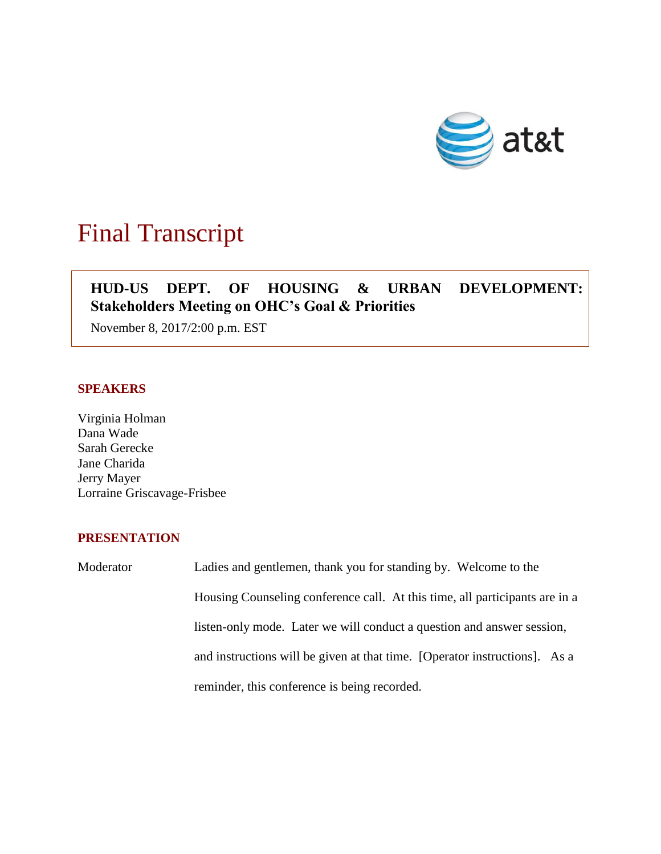

# Final Transcript

## **HUD-US DEPT. OF HOUSING & URBAN DEVELOPMENT: Stakeholders Meeting on OHC's Goal & Priorities**

November 8, 2017/2:00 p.m. EST

## **SPEAKERS**

Virginia Holman Dana Wade Sarah Gerecke Jane Charida Jerry Mayer Lorraine Griscavage-Frisbee

## **PRESENTATION**

Moderator Ladies and gentlemen, thank you for standing by. Welcome to the Housing Counseling conference call. At this time, all participants are in a listen-only mode. Later we will conduct a question and answer session, and instructions will be given at that time. [Operator instructions]. As a reminder, this conference is being recorded.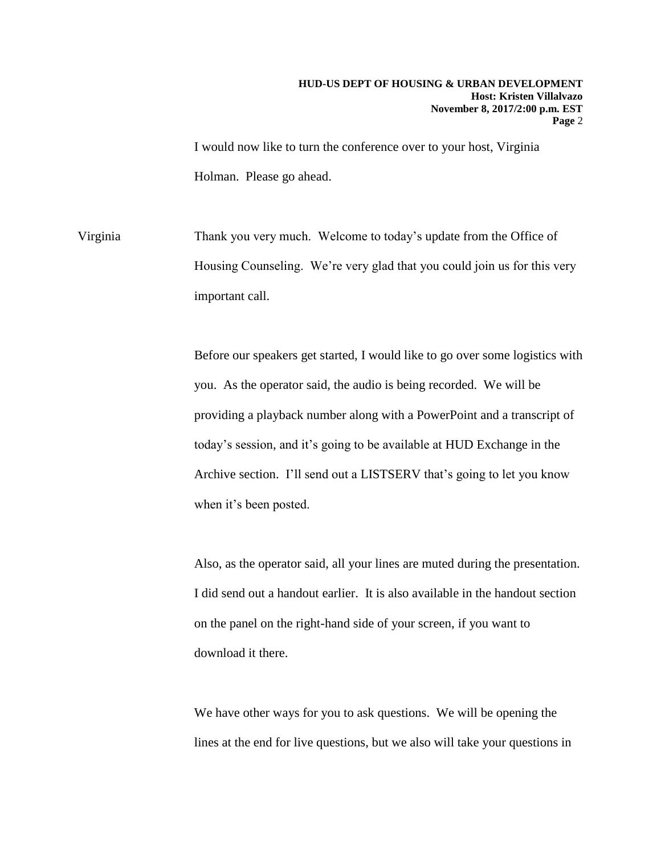I would now like to turn the conference over to your host, Virginia Holman. Please go ahead.

Virginia Thank you very much. Welcome to today's update from the Office of Housing Counseling. We're very glad that you could join us for this very important call.

> Before our speakers get started, I would like to go over some logistics with you. As the operator said, the audio is being recorded. We will be providing a playback number along with a PowerPoint and a transcript of today's session, and it's going to be available at HUD Exchange in the Archive section. I'll send out a LISTSERV that's going to let you know when it's been posted.

> Also, as the operator said, all your lines are muted during the presentation. I did send out a handout earlier. It is also available in the handout section on the panel on the right-hand side of your screen, if you want to download it there.

We have other ways for you to ask questions. We will be opening the lines at the end for live questions, but we also will take your questions in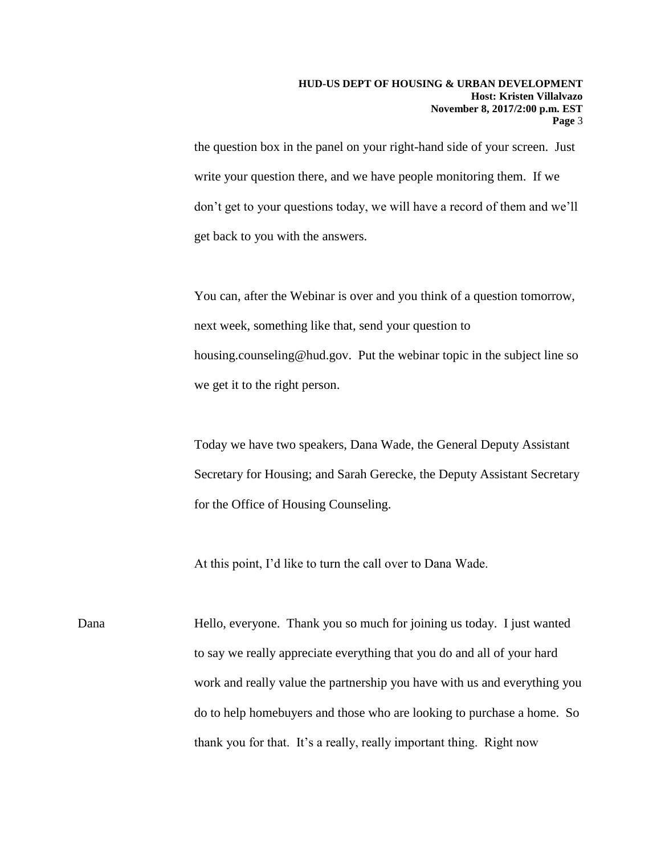the question box in the panel on your right-hand side of your screen. Just write your question there, and we have people monitoring them. If we don't get to your questions today, we will have a record of them and we'll get back to you with the answers.

You can, after the Webinar is over and you think of a question tomorrow, next week, something like that, send your question to housing.counseling@hud.gov. Put the webinar topic in the subject line so we get it to the right person.

Today we have two speakers, Dana Wade, the General Deputy Assistant Secretary for Housing; and Sarah Gerecke, the Deputy Assistant Secretary for the Office of Housing Counseling.

At this point, I'd like to turn the call over to Dana Wade.

Dana Hello, everyone. Thank you so much for joining us today. I just wanted to say we really appreciate everything that you do and all of your hard work and really value the partnership you have with us and everything you do to help homebuyers and those who are looking to purchase a home. So thank you for that. It's a really, really important thing. Right now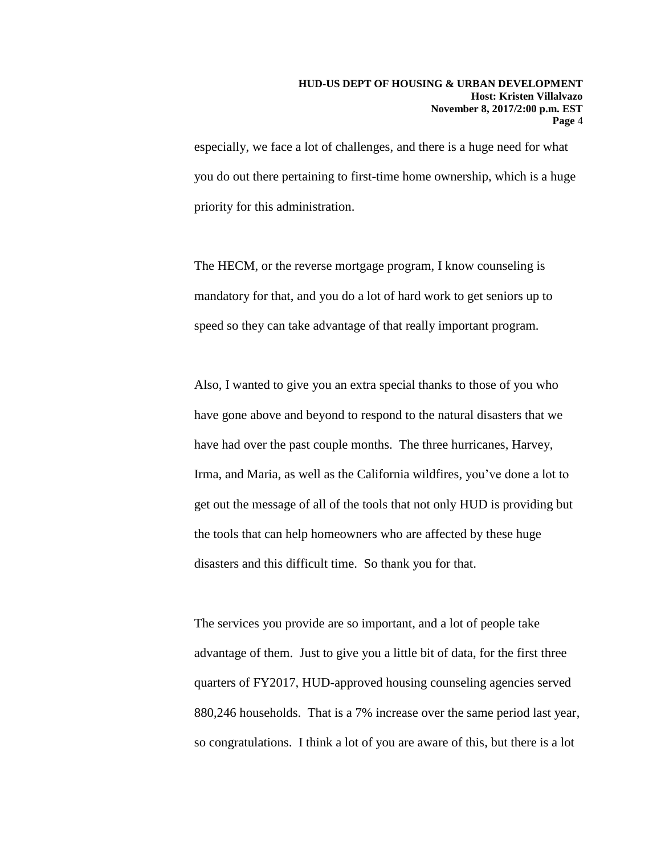especially, we face a lot of challenges, and there is a huge need for what you do out there pertaining to first-time home ownership, which is a huge priority for this administration.

The HECM, or the reverse mortgage program, I know counseling is mandatory for that, and you do a lot of hard work to get seniors up to speed so they can take advantage of that really important program.

Also, I wanted to give you an extra special thanks to those of you who have gone above and beyond to respond to the natural disasters that we have had over the past couple months. The three hurricanes, Harvey, Irma, and Maria, as well as the California wildfires, you've done a lot to get out the message of all of the tools that not only HUD is providing but the tools that can help homeowners who are affected by these huge disasters and this difficult time. So thank you for that.

The services you provide are so important, and a lot of people take advantage of them. Just to give you a little bit of data, for the first three quarters of FY2017, HUD-approved housing counseling agencies served 880,246 households. That is a 7% increase over the same period last year, so congratulations. I think a lot of you are aware of this, but there is a lot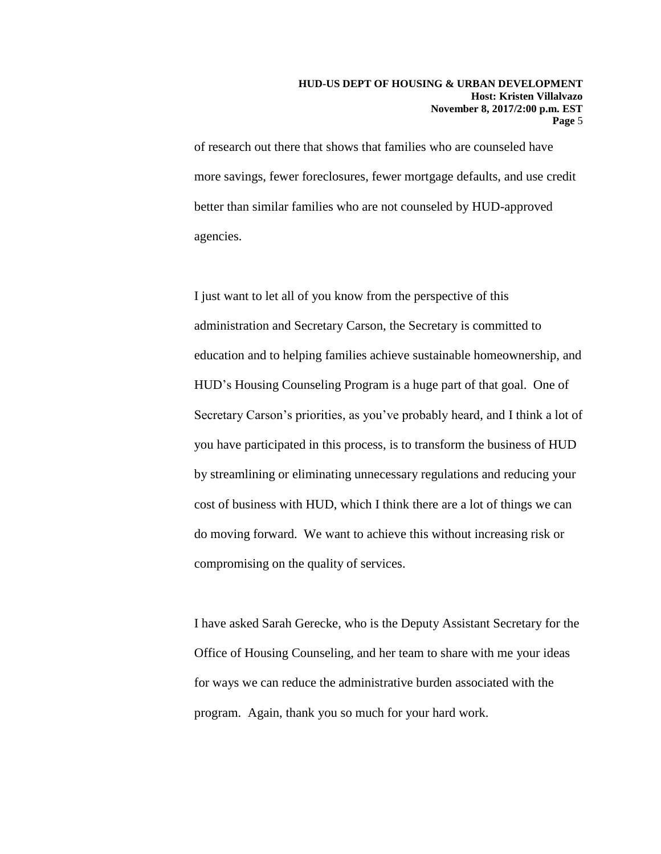of research out there that shows that families who are counseled have more savings, fewer foreclosures, fewer mortgage defaults, and use credit better than similar families who are not counseled by HUD-approved agencies.

I just want to let all of you know from the perspective of this administration and Secretary Carson, the Secretary is committed to education and to helping families achieve sustainable homeownership, and HUD's Housing Counseling Program is a huge part of that goal. One of Secretary Carson's priorities, as you've probably heard, and I think a lot of you have participated in this process, is to transform the business of HUD by streamlining or eliminating unnecessary regulations and reducing your cost of business with HUD, which I think there are a lot of things we can do moving forward. We want to achieve this without increasing risk or compromising on the quality of services.

I have asked Sarah Gerecke, who is the Deputy Assistant Secretary for the Office of Housing Counseling, and her team to share with me your ideas for ways we can reduce the administrative burden associated with the program. Again, thank you so much for your hard work.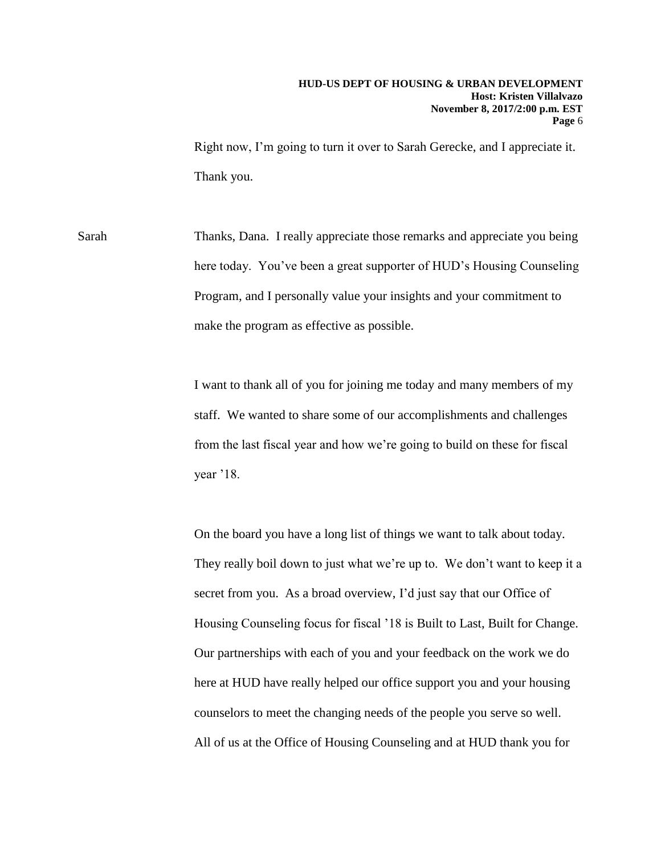Right now, I'm going to turn it over to Sarah Gerecke, and I appreciate it. Thank you.

Sarah Thanks, Dana. I really appreciate those remarks and appreciate you being here today. You've been a great supporter of HUD's Housing Counseling Program, and I personally value your insights and your commitment to make the program as effective as possible.

> I want to thank all of you for joining me today and many members of my staff. We wanted to share some of our accomplishments and challenges from the last fiscal year and how we're going to build on these for fiscal year '18.

On the board you have a long list of things we want to talk about today. They really boil down to just what we're up to. We don't want to keep it a secret from you. As a broad overview, I'd just say that our Office of Housing Counseling focus for fiscal '18 is Built to Last, Built for Change. Our partnerships with each of you and your feedback on the work we do here at HUD have really helped our office support you and your housing counselors to meet the changing needs of the people you serve so well. All of us at the Office of Housing Counseling and at HUD thank you for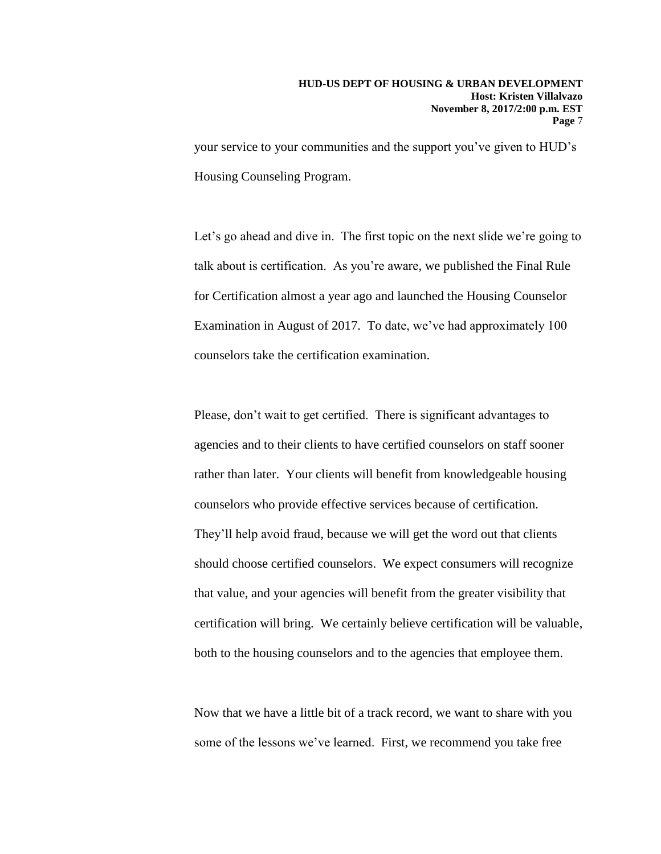your service to your communities and the support you've given to HUD's Housing Counseling Program.

Let's go ahead and dive in. The first topic on the next slide we're going to talk about is certification. As you're aware, we published the Final Rule for Certification almost a year ago and launched the Housing Counselor Examination in August of 2017. To date, we've had approximately 100 counselors take the certification examination.

Please, don't wait to get certified. There is significant advantages to agencies and to their clients to have certified counselors on staff sooner rather than later. Your clients will benefit from knowledgeable housing counselors who provide effective services because of certification. They'll help avoid fraud, because we will get the word out that clients should choose certified counselors. We expect consumers will recognize that value, and your agencies will benefit from the greater visibility that certification will bring. We certainly believe certification will be valuable, both to the housing counselors and to the agencies that employee them.

Now that we have a little bit of a track record, we want to share with you some of the lessons we've learned. First, we recommend you take free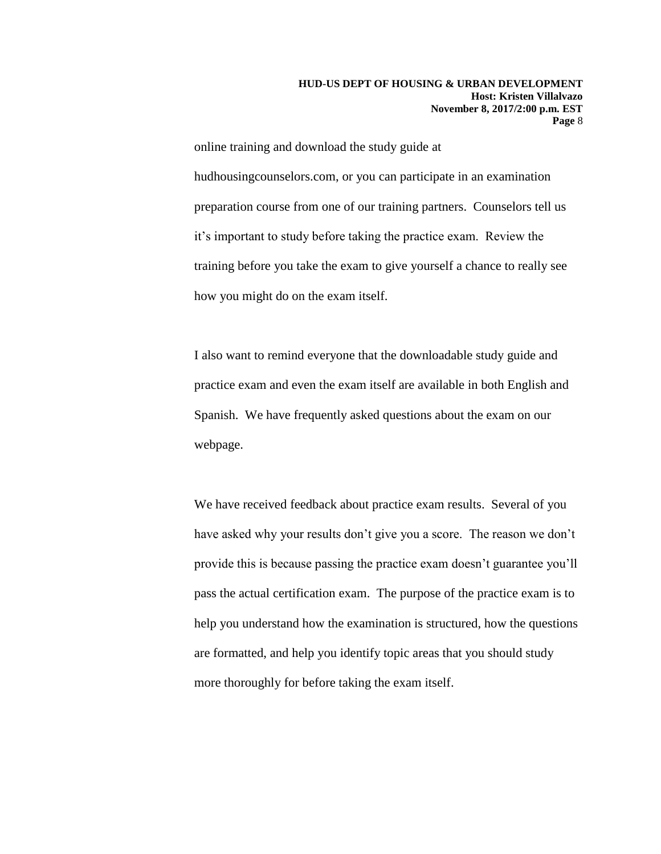online training and download the study guide at hudhousingcounselors.com, or you can participate in an examination preparation course from one of our training partners. Counselors tell us it's important to study before taking the practice exam. Review the training before you take the exam to give yourself a chance to really see how you might do on the exam itself.

I also want to remind everyone that the downloadable study guide and practice exam and even the exam itself are available in both English and Spanish. We have frequently asked questions about the exam on our webpage.

We have received feedback about practice exam results. Several of you have asked why your results don't give you a score. The reason we don't provide this is because passing the practice exam doesn't guarantee you'll pass the actual certification exam. The purpose of the practice exam is to help you understand how the examination is structured, how the questions are formatted, and help you identify topic areas that you should study more thoroughly for before taking the exam itself.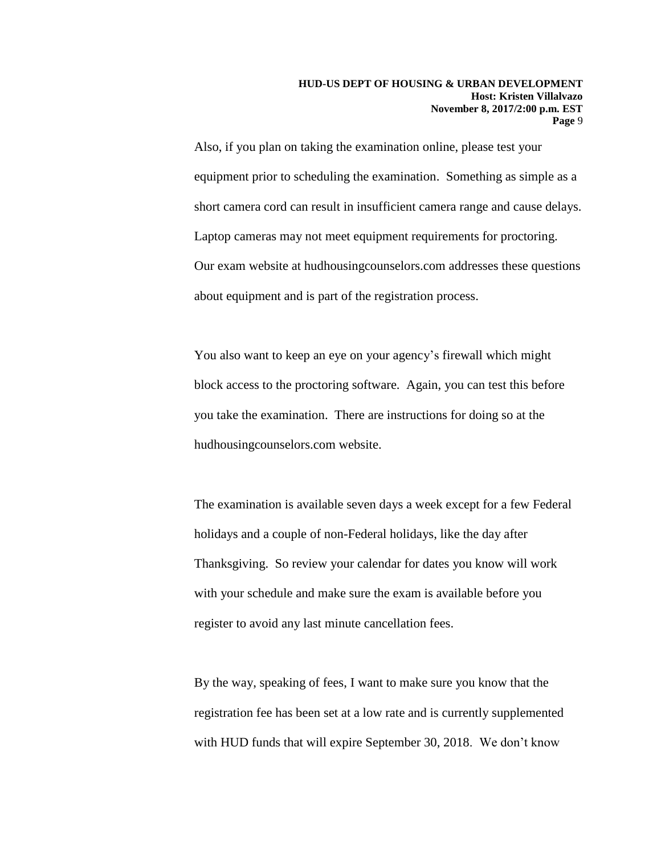Also, if you plan on taking the examination online, please test your equipment prior to scheduling the examination. Something as simple as a short camera cord can result in insufficient camera range and cause delays. Laptop cameras may not meet equipment requirements for proctoring. Our exam website at hudhousingcounselors.com addresses these questions about equipment and is part of the registration process.

You also want to keep an eye on your agency's firewall which might block access to the proctoring software. Again, you can test this before you take the examination. There are instructions for doing so at the hudhousingcounselors.com website.

The examination is available seven days a week except for a few Federal holidays and a couple of non-Federal holidays, like the day after Thanksgiving. So review your calendar for dates you know will work with your schedule and make sure the exam is available before you register to avoid any last minute cancellation fees.

By the way, speaking of fees, I want to make sure you know that the registration fee has been set at a low rate and is currently supplemented with HUD funds that will expire September 30, 2018. We don't know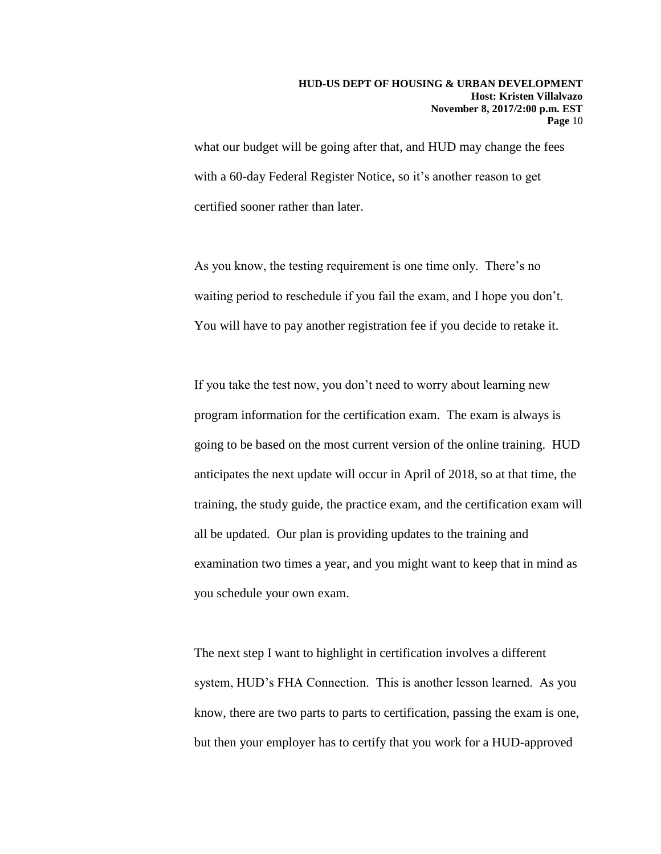what our budget will be going after that, and HUD may change the fees with a 60-day Federal Register Notice, so it's another reason to get certified sooner rather than later.

As you know, the testing requirement is one time only. There's no waiting period to reschedule if you fail the exam, and I hope you don't. You will have to pay another registration fee if you decide to retake it.

If you take the test now, you don't need to worry about learning new program information for the certification exam. The exam is always is going to be based on the most current version of the online training. HUD anticipates the next update will occur in April of 2018, so at that time, the training, the study guide, the practice exam, and the certification exam will all be updated. Our plan is providing updates to the training and examination two times a year, and you might want to keep that in mind as you schedule your own exam.

The next step I want to highlight in certification involves a different system, HUD's FHA Connection. This is another lesson learned. As you know, there are two parts to parts to certification, passing the exam is one, but then your employer has to certify that you work for a HUD-approved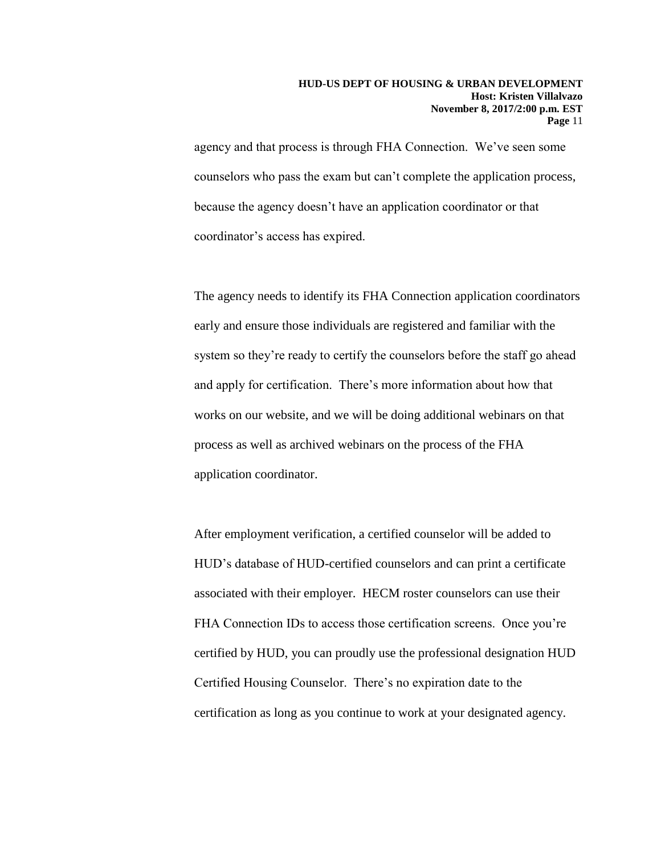agency and that process is through FHA Connection. We've seen some counselors who pass the exam but can't complete the application process, because the agency doesn't have an application coordinator or that coordinator's access has expired.

The agency needs to identify its FHA Connection application coordinators early and ensure those individuals are registered and familiar with the system so they're ready to certify the counselors before the staff go ahead and apply for certification. There's more information about how that works on our website, and we will be doing additional webinars on that process as well as archived webinars on the process of the FHA application coordinator.

After employment verification, a certified counselor will be added to HUD's database of HUD-certified counselors and can print a certificate associated with their employer. HECM roster counselors can use their FHA Connection IDs to access those certification screens. Once you're certified by HUD, you can proudly use the professional designation HUD Certified Housing Counselor. There's no expiration date to the certification as long as you continue to work at your designated agency.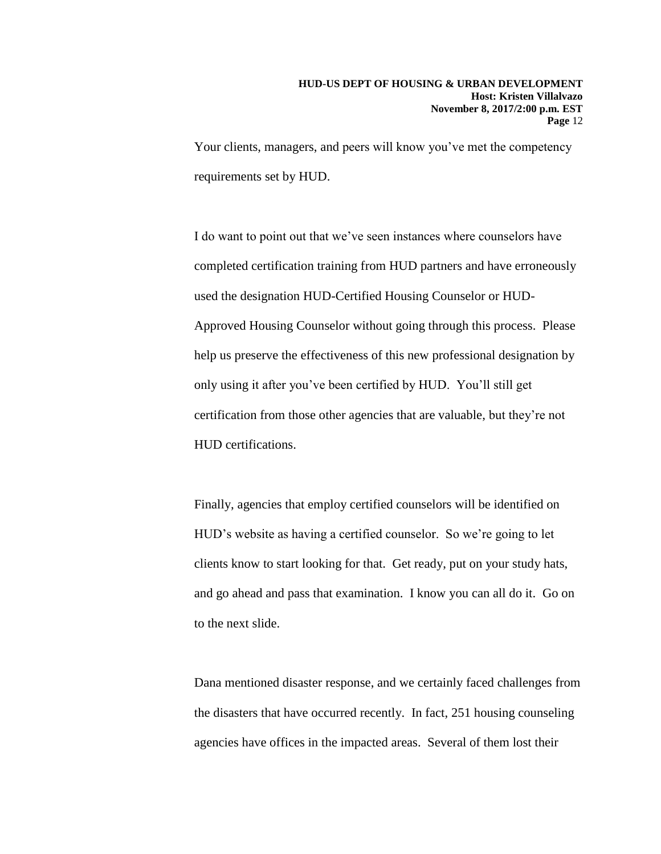Your clients, managers, and peers will know you've met the competency requirements set by HUD.

I do want to point out that we've seen instances where counselors have completed certification training from HUD partners and have erroneously used the designation HUD-Certified Housing Counselor or HUD-Approved Housing Counselor without going through this process. Please help us preserve the effectiveness of this new professional designation by only using it after you've been certified by HUD. You'll still get certification from those other agencies that are valuable, but they're not HUD certifications.

Finally, agencies that employ certified counselors will be identified on HUD's website as having a certified counselor. So we're going to let clients know to start looking for that. Get ready, put on your study hats, and go ahead and pass that examination. I know you can all do it. Go on to the next slide.

Dana mentioned disaster response, and we certainly faced challenges from the disasters that have occurred recently. In fact, 251 housing counseling agencies have offices in the impacted areas. Several of them lost their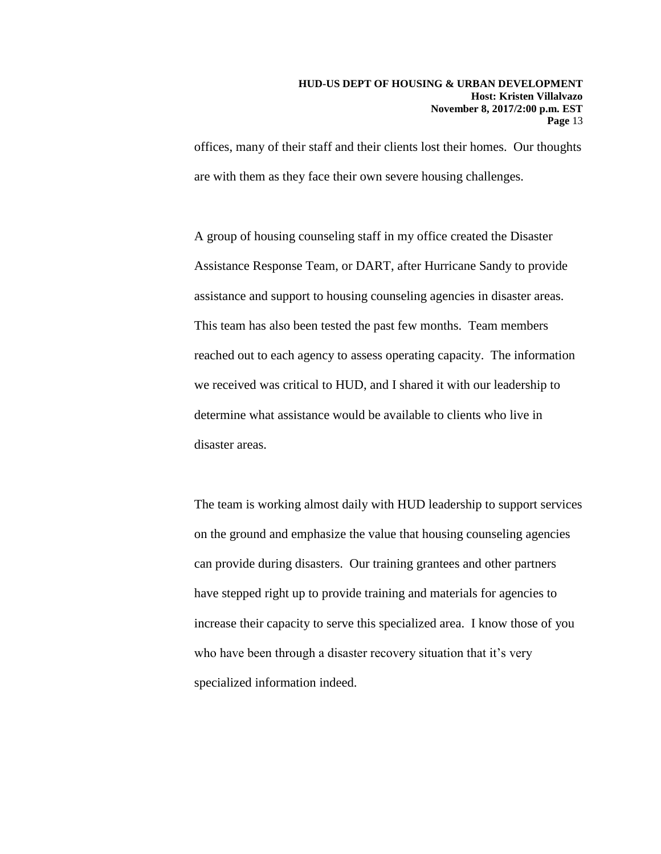offices, many of their staff and their clients lost their homes. Our thoughts are with them as they face their own severe housing challenges.

A group of housing counseling staff in my office created the Disaster Assistance Response Team, or DART, after Hurricane Sandy to provide assistance and support to housing counseling agencies in disaster areas. This team has also been tested the past few months. Team members reached out to each agency to assess operating capacity. The information we received was critical to HUD, and I shared it with our leadership to determine what assistance would be available to clients who live in disaster areas.

The team is working almost daily with HUD leadership to support services on the ground and emphasize the value that housing counseling agencies can provide during disasters. Our training grantees and other partners have stepped right up to provide training and materials for agencies to increase their capacity to serve this specialized area. I know those of you who have been through a disaster recovery situation that it's very specialized information indeed.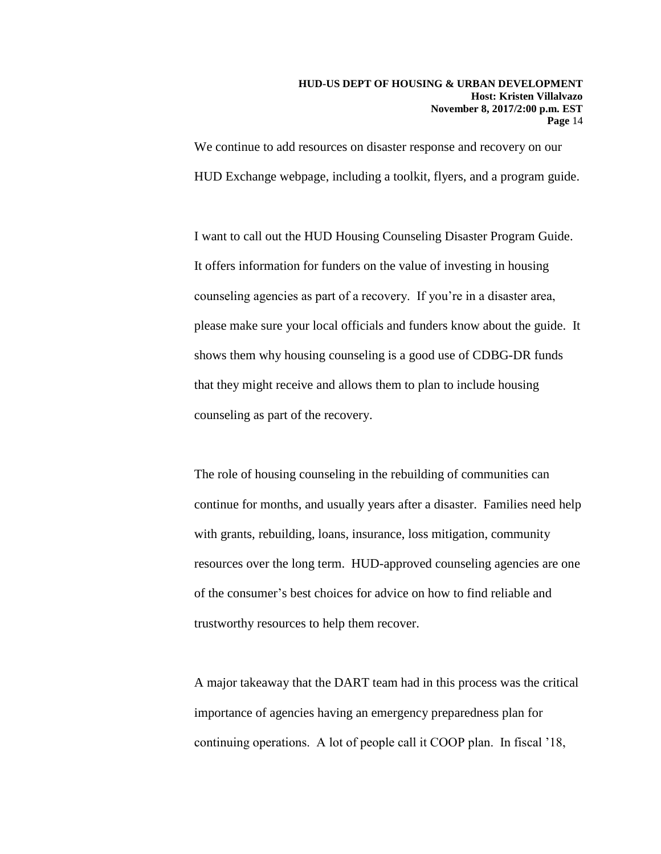### **HUD-US DEPT OF HOUSING & URBAN DEVELOPMENT Host: Kristen Villalvazo November 8, 2017/2:00 p.m. EST Page** 14

We continue to add resources on disaster response and recovery on our HUD Exchange webpage, including a toolkit, flyers, and a program guide.

I want to call out the HUD Housing Counseling Disaster Program Guide. It offers information for funders on the value of investing in housing counseling agencies as part of a recovery. If you're in a disaster area, please make sure your local officials and funders know about the guide. It shows them why housing counseling is a good use of CDBG-DR funds that they might receive and allows them to plan to include housing counseling as part of the recovery.

The role of housing counseling in the rebuilding of communities can continue for months, and usually years after a disaster. Families need help with grants, rebuilding, loans, insurance, loss mitigation, community resources over the long term. HUD-approved counseling agencies are one of the consumer's best choices for advice on how to find reliable and trustworthy resources to help them recover.

A major takeaway that the DART team had in this process was the critical importance of agencies having an emergency preparedness plan for continuing operations. A lot of people call it COOP plan. In fiscal '18,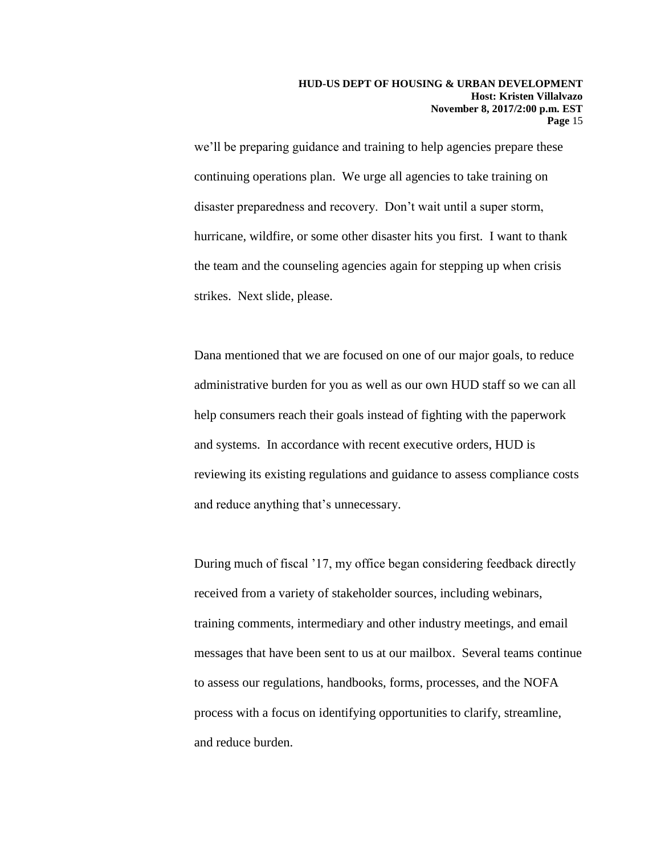we'll be preparing guidance and training to help agencies prepare these continuing operations plan. We urge all agencies to take training on disaster preparedness and recovery. Don't wait until a super storm, hurricane, wildfire, or some other disaster hits you first. I want to thank the team and the counseling agencies again for stepping up when crisis strikes. Next slide, please.

Dana mentioned that we are focused on one of our major goals, to reduce administrative burden for you as well as our own HUD staff so we can all help consumers reach their goals instead of fighting with the paperwork and systems. In accordance with recent executive orders, HUD is reviewing its existing regulations and guidance to assess compliance costs and reduce anything that's unnecessary.

During much of fiscal '17, my office began considering feedback directly received from a variety of stakeholder sources, including webinars, training comments, intermediary and other industry meetings, and email messages that have been sent to us at our mailbox. Several teams continue to assess our regulations, handbooks, forms, processes, and the NOFA process with a focus on identifying opportunities to clarify, streamline, and reduce burden.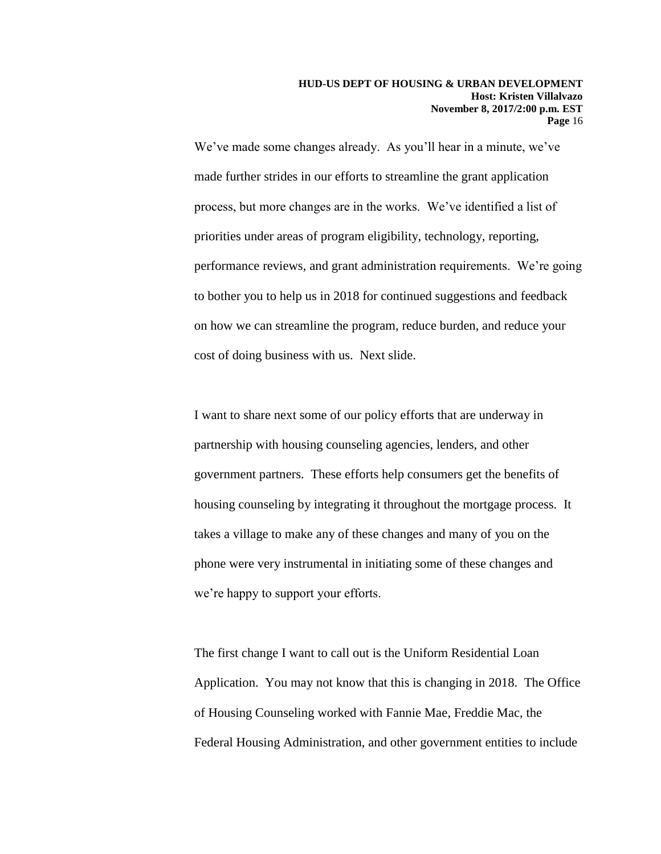We've made some changes already. As you'll hear in a minute, we've made further strides in our efforts to streamline the grant application process, but more changes are in the works. We've identified a list of priorities under areas of program eligibility, technology, reporting, performance reviews, and grant administration requirements. We're going to bother you to help us in 2018 for continued suggestions and feedback on how we can streamline the program, reduce burden, and reduce your cost of doing business with us. Next slide.

I want to share next some of our policy efforts that are underway in partnership with housing counseling agencies, lenders, and other government partners. These efforts help consumers get the benefits of housing counseling by integrating it throughout the mortgage process. It takes a village to make any of these changes and many of you on the phone were very instrumental in initiating some of these changes and we're happy to support your efforts.

The first change I want to call out is the Uniform Residential Loan Application. You may not know that this is changing in 2018. The Office of Housing Counseling worked with Fannie Mae, Freddie Mac, the Federal Housing Administration, and other government entities to include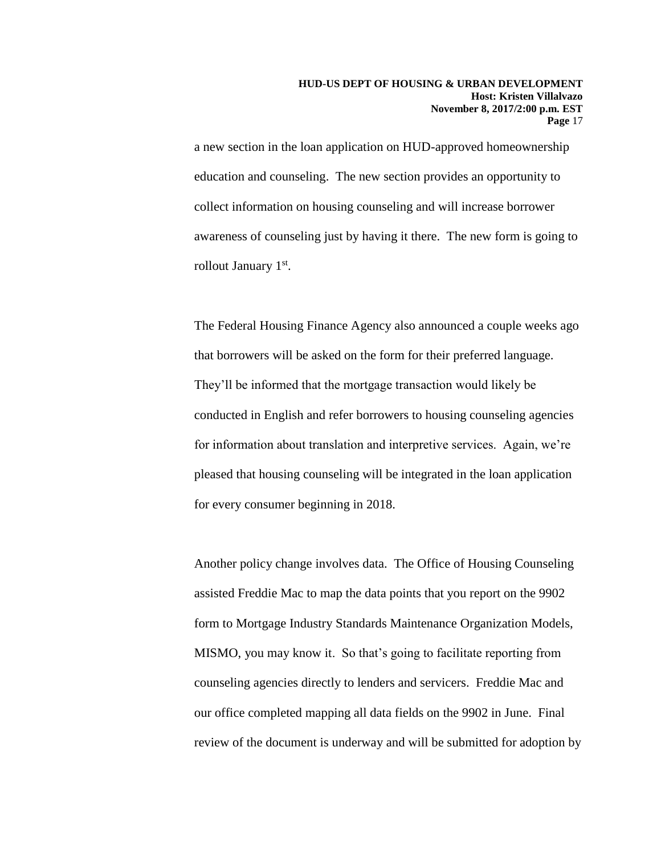a new section in the loan application on HUD-approved homeownership education and counseling. The new section provides an opportunity to collect information on housing counseling and will increase borrower awareness of counseling just by having it there. The new form is going to rollout January 1<sup>st</sup>.

The Federal Housing Finance Agency also announced a couple weeks ago that borrowers will be asked on the form for their preferred language. They'll be informed that the mortgage transaction would likely be conducted in English and refer borrowers to housing counseling agencies for information about translation and interpretive services. Again, we're pleased that housing counseling will be integrated in the loan application for every consumer beginning in 2018.

Another policy change involves data. The Office of Housing Counseling assisted Freddie Mac to map the data points that you report on the 9902 form to Mortgage Industry Standards Maintenance Organization Models, MISMO, you may know it. So that's going to facilitate reporting from counseling agencies directly to lenders and servicers. Freddie Mac and our office completed mapping all data fields on the 9902 in June. Final review of the document is underway and will be submitted for adoption by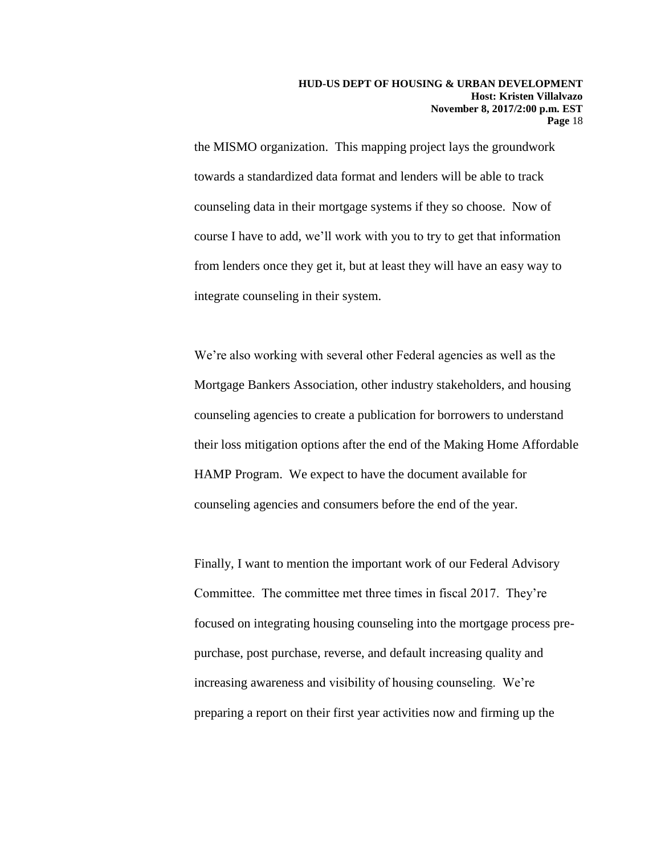the MISMO organization. This mapping project lays the groundwork towards a standardized data format and lenders will be able to track counseling data in their mortgage systems if they so choose. Now of course I have to add, we'll work with you to try to get that information from lenders once they get it, but at least they will have an easy way to integrate counseling in their system.

We're also working with several other Federal agencies as well as the Mortgage Bankers Association, other industry stakeholders, and housing counseling agencies to create a publication for borrowers to understand their loss mitigation options after the end of the Making Home Affordable HAMP Program. We expect to have the document available for counseling agencies and consumers before the end of the year.

Finally, I want to mention the important work of our Federal Advisory Committee. The committee met three times in fiscal 2017. They're focused on integrating housing counseling into the mortgage process prepurchase, post purchase, reverse, and default increasing quality and increasing awareness and visibility of housing counseling. We're preparing a report on their first year activities now and firming up the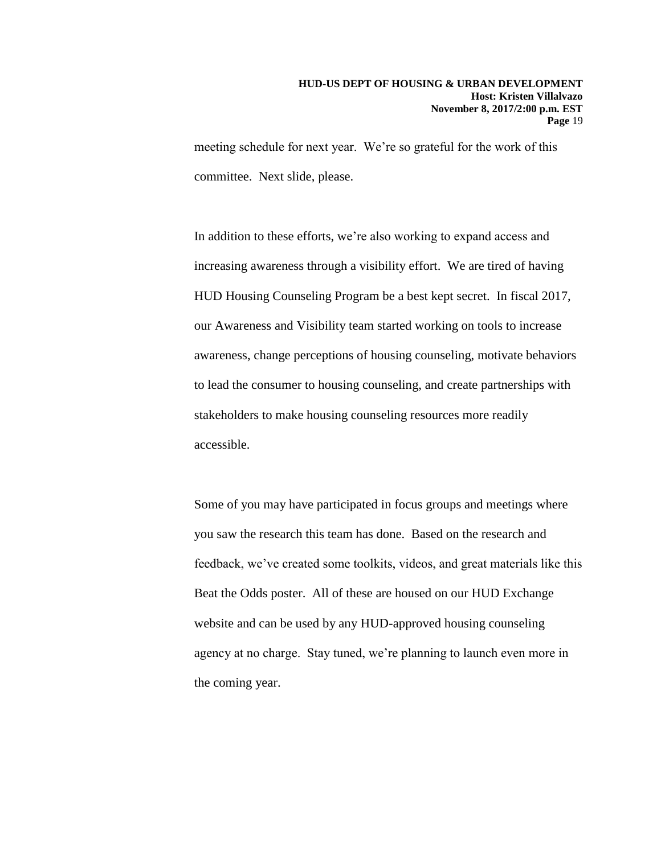meeting schedule for next year. We're so grateful for the work of this committee. Next slide, please.

In addition to these efforts, we're also working to expand access and increasing awareness through a visibility effort. We are tired of having HUD Housing Counseling Program be a best kept secret. In fiscal 2017, our Awareness and Visibility team started working on tools to increase awareness, change perceptions of housing counseling, motivate behaviors to lead the consumer to housing counseling, and create partnerships with stakeholders to make housing counseling resources more readily accessible.

Some of you may have participated in focus groups and meetings where you saw the research this team has done. Based on the research and feedback, we've created some toolkits, videos, and great materials like this Beat the Odds poster. All of these are housed on our HUD Exchange website and can be used by any HUD-approved housing counseling agency at no charge. Stay tuned, we're planning to launch even more in the coming year.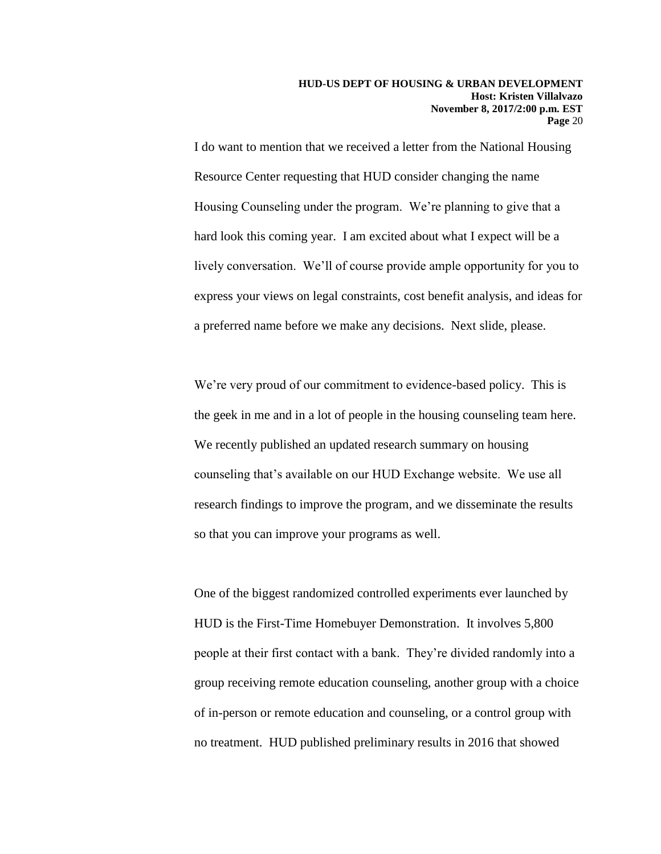I do want to mention that we received a letter from the National Housing Resource Center requesting that HUD consider changing the name Housing Counseling under the program. We're planning to give that a hard look this coming year. I am excited about what I expect will be a lively conversation. We'll of course provide ample opportunity for you to express your views on legal constraints, cost benefit analysis, and ideas for a preferred name before we make any decisions. Next slide, please.

We're very proud of our commitment to evidence-based policy. This is the geek in me and in a lot of people in the housing counseling team here. We recently published an updated research summary on housing counseling that's available on our HUD Exchange website. We use all research findings to improve the program, and we disseminate the results so that you can improve your programs as well.

One of the biggest randomized controlled experiments ever launched by HUD is the First-Time Homebuyer Demonstration. It involves 5,800 people at their first contact with a bank. They're divided randomly into a group receiving remote education counseling, another group with a choice of in-person or remote education and counseling, or a control group with no treatment. HUD published preliminary results in 2016 that showed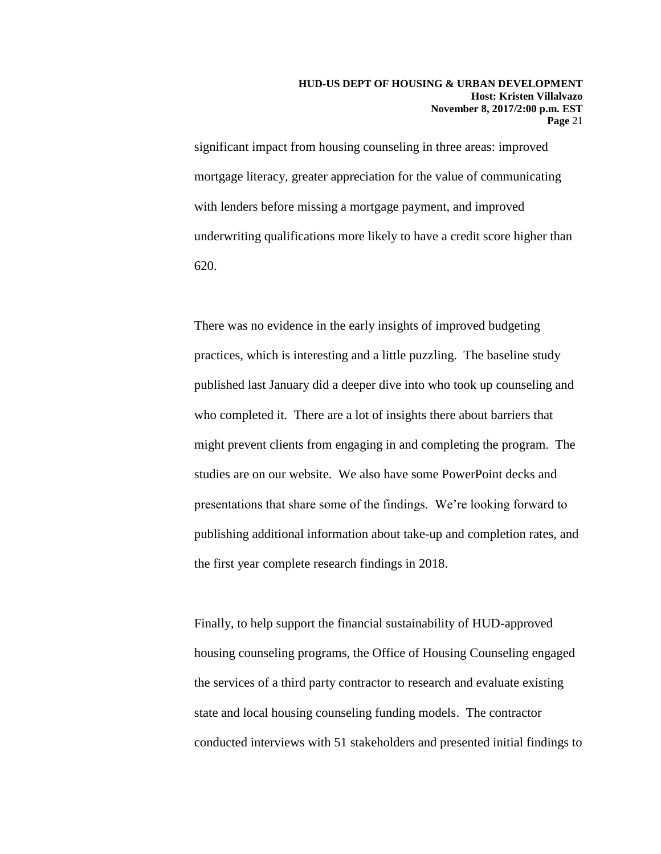significant impact from housing counseling in three areas: improved mortgage literacy, greater appreciation for the value of communicating with lenders before missing a mortgage payment, and improved underwriting qualifications more likely to have a credit score higher than 620.

There was no evidence in the early insights of improved budgeting practices, which is interesting and a little puzzling. The baseline study published last January did a deeper dive into who took up counseling and who completed it. There are a lot of insights there about barriers that might prevent clients from engaging in and completing the program. The studies are on our website. We also have some PowerPoint decks and presentations that share some of the findings. We're looking forward to publishing additional information about take-up and completion rates, and the first year complete research findings in 2018.

Finally, to help support the financial sustainability of HUD-approved housing counseling programs, the Office of Housing Counseling engaged the services of a third party contractor to research and evaluate existing state and local housing counseling funding models. The contractor conducted interviews with 51 stakeholders and presented initial findings to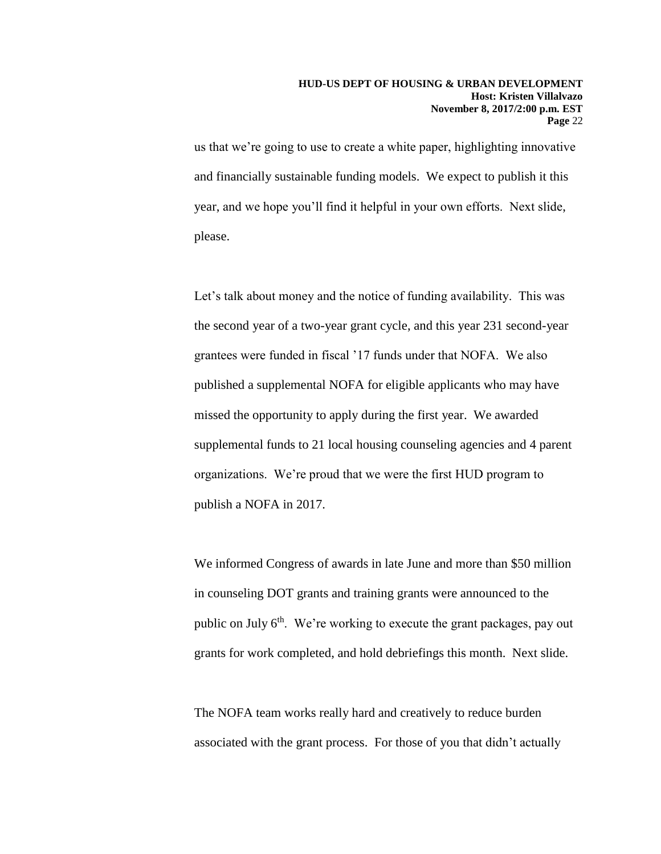us that we're going to use to create a white paper, highlighting innovative and financially sustainable funding models. We expect to publish it this year, and we hope you'll find it helpful in your own efforts. Next slide, please.

Let's talk about money and the notice of funding availability. This was the second year of a two-year grant cycle, and this year 231 second-year grantees were funded in fiscal '17 funds under that NOFA. We also published a supplemental NOFA for eligible applicants who may have missed the opportunity to apply during the first year. We awarded supplemental funds to 21 local housing counseling agencies and 4 parent organizations. We're proud that we were the first HUD program to publish a NOFA in 2017.

We informed Congress of awards in late June and more than \$50 million in counseling DOT grants and training grants were announced to the public on July 6<sup>th</sup>. We're working to execute the grant packages, pay out grants for work completed, and hold debriefings this month. Next slide.

The NOFA team works really hard and creatively to reduce burden associated with the grant process. For those of you that didn't actually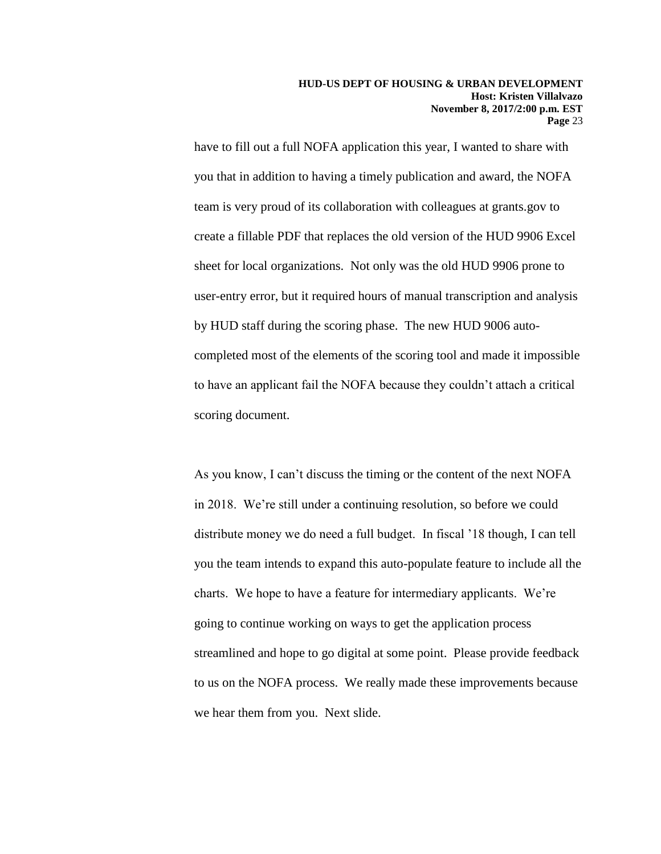have to fill out a full NOFA application this year, I wanted to share with you that in addition to having a timely publication and award, the NOFA team is very proud of its collaboration with colleagues at grants.gov to create a fillable PDF that replaces the old version of the HUD 9906 Excel sheet for local organizations. Not only was the old HUD 9906 prone to user-entry error, but it required hours of manual transcription and analysis by HUD staff during the scoring phase. The new HUD 9006 autocompleted most of the elements of the scoring tool and made it impossible to have an applicant fail the NOFA because they couldn't attach a critical scoring document.

As you know, I can't discuss the timing or the content of the next NOFA in 2018. We're still under a continuing resolution, so before we could distribute money we do need a full budget. In fiscal '18 though, I can tell you the team intends to expand this auto-populate feature to include all the charts. We hope to have a feature for intermediary applicants. We're going to continue working on ways to get the application process streamlined and hope to go digital at some point. Please provide feedback to us on the NOFA process. We really made these improvements because we hear them from you. Next slide.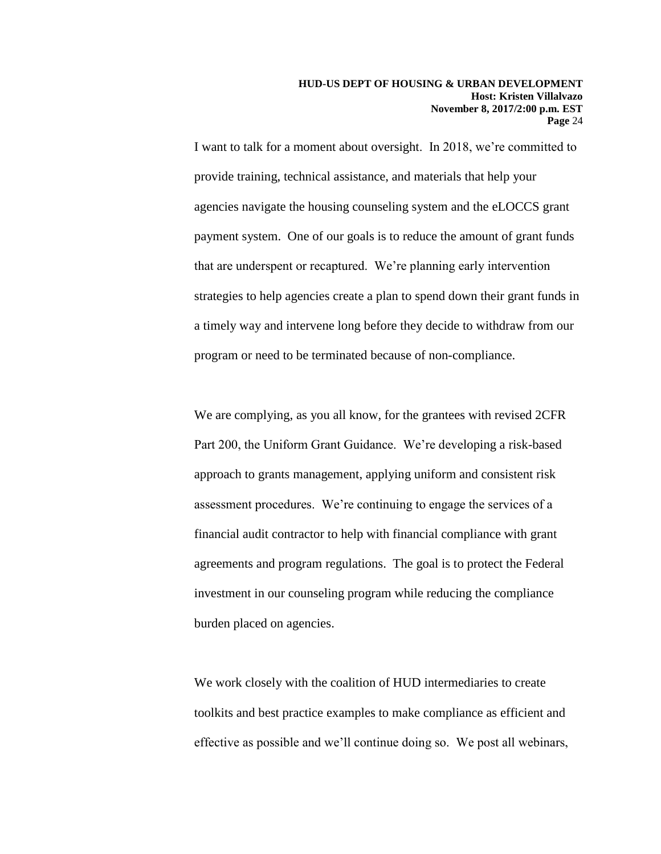I want to talk for a moment about oversight. In 2018, we're committed to provide training, technical assistance, and materials that help your agencies navigate the housing counseling system and the eLOCCS grant payment system. One of our goals is to reduce the amount of grant funds that are underspent or recaptured. We're planning early intervention strategies to help agencies create a plan to spend down their grant funds in a timely way and intervene long before they decide to withdraw from our program or need to be terminated because of non-compliance.

We are complying, as you all know, for the grantees with revised 2CFR Part 200, the Uniform Grant Guidance. We're developing a risk-based approach to grants management, applying uniform and consistent risk assessment procedures. We're continuing to engage the services of a financial audit contractor to help with financial compliance with grant agreements and program regulations. The goal is to protect the Federal investment in our counseling program while reducing the compliance burden placed on agencies.

We work closely with the coalition of HUD intermediaries to create toolkits and best practice examples to make compliance as efficient and effective as possible and we'll continue doing so. We post all webinars,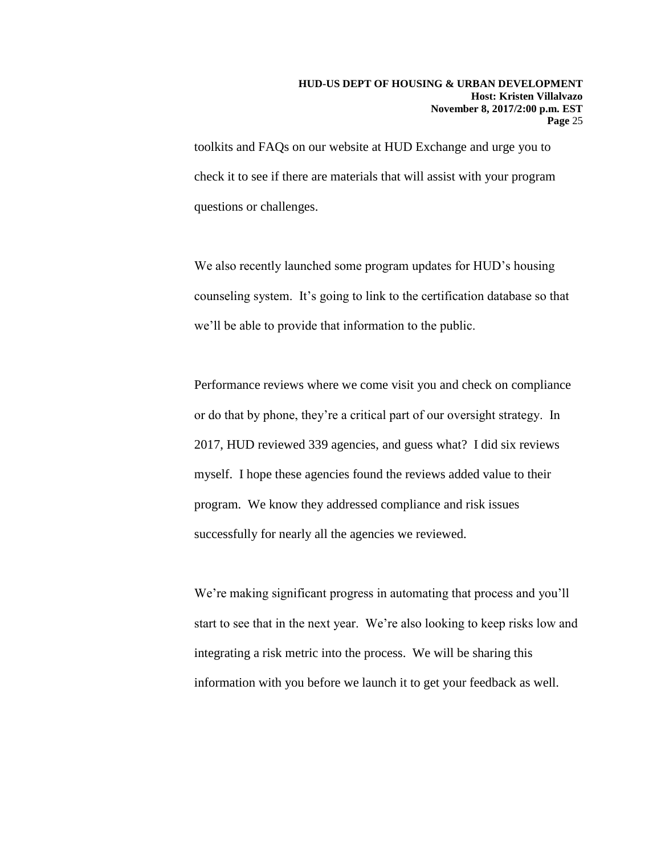toolkits and FAQs on our website at HUD Exchange and urge you to check it to see if there are materials that will assist with your program questions or challenges.

We also recently launched some program updates for HUD's housing counseling system. It's going to link to the certification database so that we'll be able to provide that information to the public.

Performance reviews where we come visit you and check on compliance or do that by phone, they're a critical part of our oversight strategy. In 2017, HUD reviewed 339 agencies, and guess what? I did six reviews myself. I hope these agencies found the reviews added value to their program. We know they addressed compliance and risk issues successfully for nearly all the agencies we reviewed.

We're making significant progress in automating that process and you'll start to see that in the next year. We're also looking to keep risks low and integrating a risk metric into the process. We will be sharing this information with you before we launch it to get your feedback as well.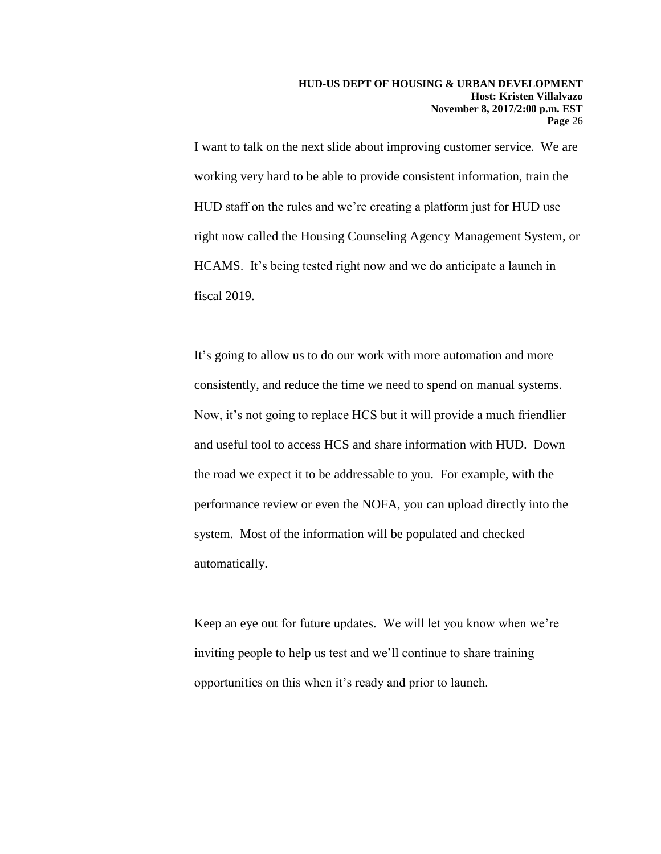I want to talk on the next slide about improving customer service. We are working very hard to be able to provide consistent information, train the HUD staff on the rules and we're creating a platform just for HUD use right now called the Housing Counseling Agency Management System, or HCAMS. It's being tested right now and we do anticipate a launch in fiscal 2019.

It's going to allow us to do our work with more automation and more consistently, and reduce the time we need to spend on manual systems. Now, it's not going to replace HCS but it will provide a much friendlier and useful tool to access HCS and share information with HUD. Down the road we expect it to be addressable to you. For example, with the performance review or even the NOFA, you can upload directly into the system. Most of the information will be populated and checked automatically.

Keep an eye out for future updates. We will let you know when we're inviting people to help us test and we'll continue to share training opportunities on this when it's ready and prior to launch.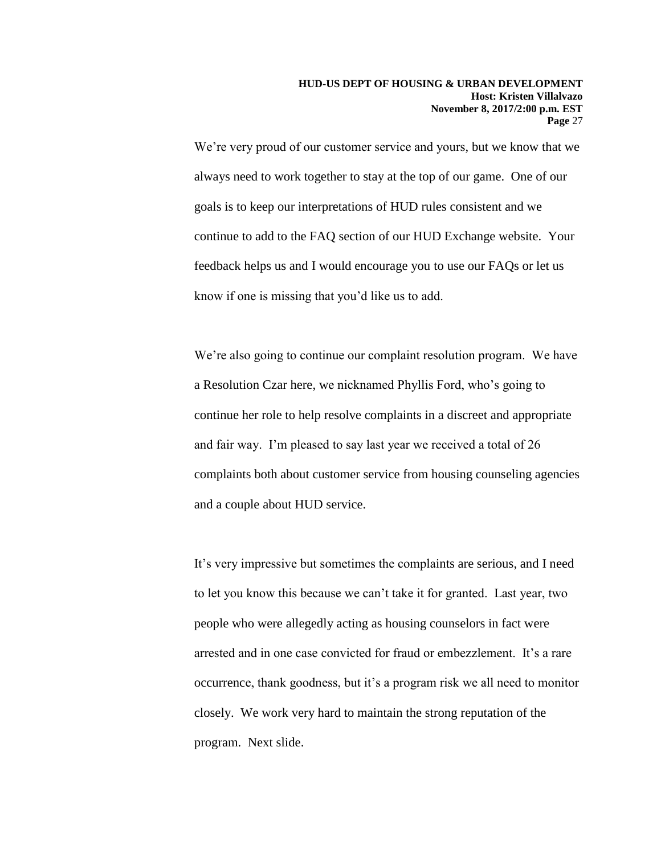We're very proud of our customer service and yours, but we know that we always need to work together to stay at the top of our game. One of our goals is to keep our interpretations of HUD rules consistent and we continue to add to the FAQ section of our HUD Exchange website. Your feedback helps us and I would encourage you to use our FAQs or let us know if one is missing that you'd like us to add.

We're also going to continue our complaint resolution program. We have a Resolution Czar here, we nicknamed Phyllis Ford, who's going to continue her role to help resolve complaints in a discreet and appropriate and fair way. I'm pleased to say last year we received a total of 26 complaints both about customer service from housing counseling agencies and a couple about HUD service.

It's very impressive but sometimes the complaints are serious, and I need to let you know this because we can't take it for granted. Last year, two people who were allegedly acting as housing counselors in fact were arrested and in one case convicted for fraud or embezzlement. It's a rare occurrence, thank goodness, but it's a program risk we all need to monitor closely. We work very hard to maintain the strong reputation of the program. Next slide.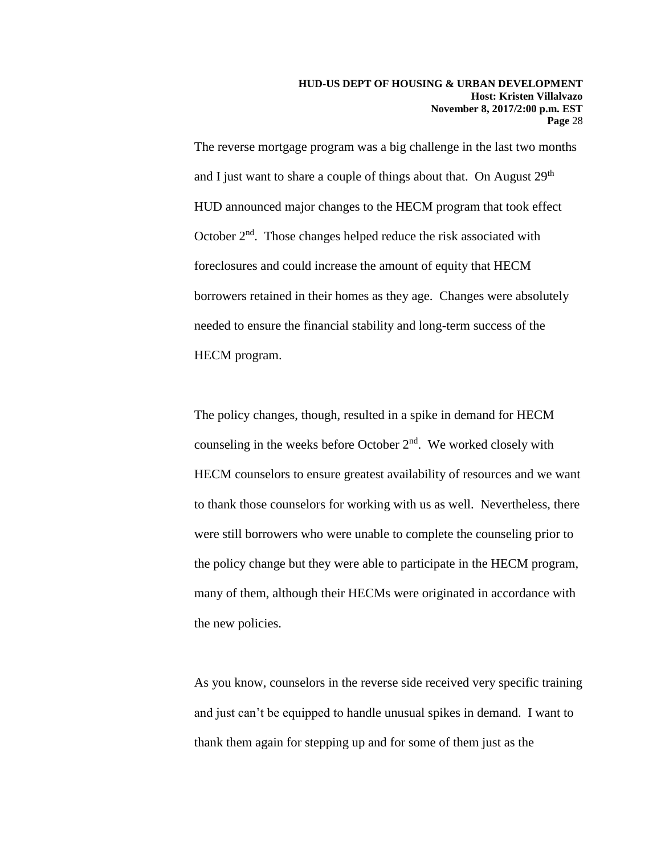The reverse mortgage program was a big challenge in the last two months and I just want to share a couple of things about that. On August  $29<sup>th</sup>$ HUD announced major changes to the HECM program that took effect October  $2<sup>nd</sup>$ . Those changes helped reduce the risk associated with foreclosures and could increase the amount of equity that HECM borrowers retained in their homes as they age. Changes were absolutely needed to ensure the financial stability and long-term success of the HECM program.

The policy changes, though, resulted in a spike in demand for HECM counseling in the weeks before October  $2<sup>nd</sup>$ . We worked closely with HECM counselors to ensure greatest availability of resources and we want to thank those counselors for working with us as well. Nevertheless, there were still borrowers who were unable to complete the counseling prior to the policy change but they were able to participate in the HECM program, many of them, although their HECMs were originated in accordance with the new policies.

As you know, counselors in the reverse side received very specific training and just can't be equipped to handle unusual spikes in demand. I want to thank them again for stepping up and for some of them just as the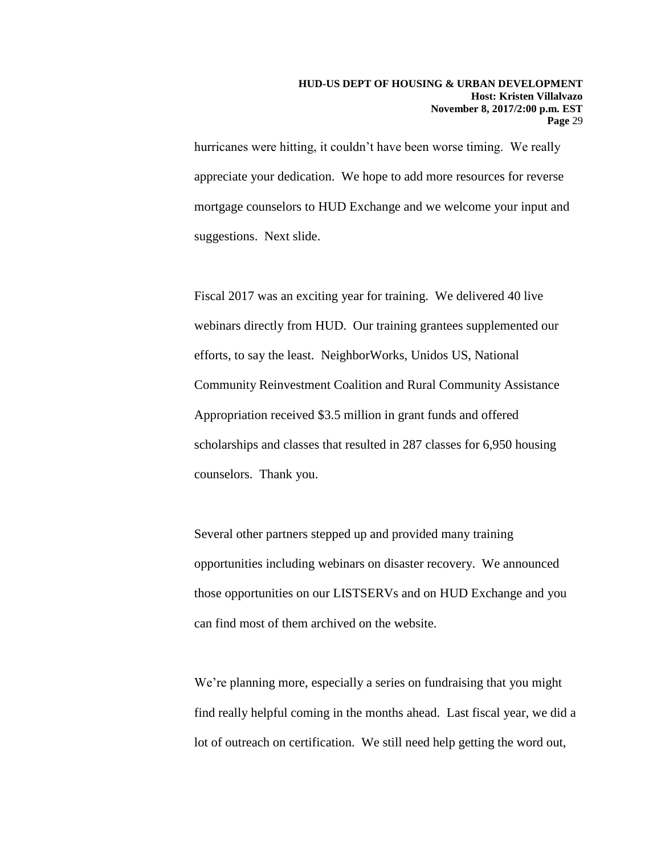hurricanes were hitting, it couldn't have been worse timing. We really appreciate your dedication. We hope to add more resources for reverse mortgage counselors to HUD Exchange and we welcome your input and suggestions. Next slide.

Fiscal 2017 was an exciting year for training. We delivered 40 live webinars directly from HUD. Our training grantees supplemented our efforts, to say the least. NeighborWorks, Unidos US, National Community Reinvestment Coalition and Rural Community Assistance Appropriation received \$3.5 million in grant funds and offered scholarships and classes that resulted in 287 classes for 6,950 housing counselors. Thank you.

Several other partners stepped up and provided many training opportunities including webinars on disaster recovery. We announced those opportunities on our LISTSERVs and on HUD Exchange and you can find most of them archived on the website.

We're planning more, especially a series on fundraising that you might find really helpful coming in the months ahead. Last fiscal year, we did a lot of outreach on certification. We still need help getting the word out,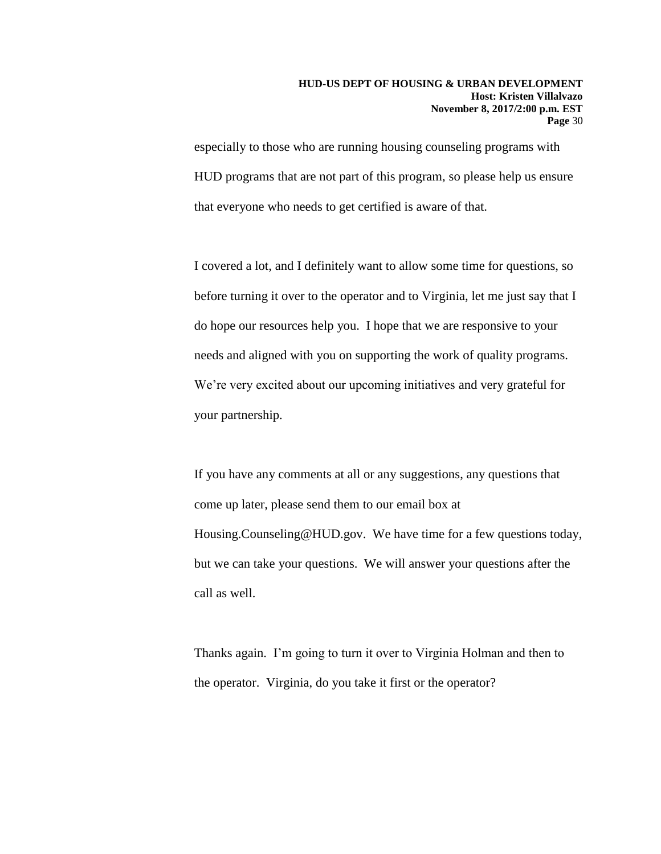especially to those who are running housing counseling programs with HUD programs that are not part of this program, so please help us ensure that everyone who needs to get certified is aware of that.

I covered a lot, and I definitely want to allow some time for questions, so before turning it over to the operator and to Virginia, let me just say that I do hope our resources help you. I hope that we are responsive to your needs and aligned with you on supporting the work of quality programs. We're very excited about our upcoming initiatives and very grateful for your partnership.

If you have any comments at all or any suggestions, any questions that come up later, please send them to our email box at Housing.Counseling@HUD.gov. We have time for a few questions today, but we can take your questions. We will answer your questions after the call as well.

Thanks again. I'm going to turn it over to Virginia Holman and then to the operator. Virginia, do you take it first or the operator?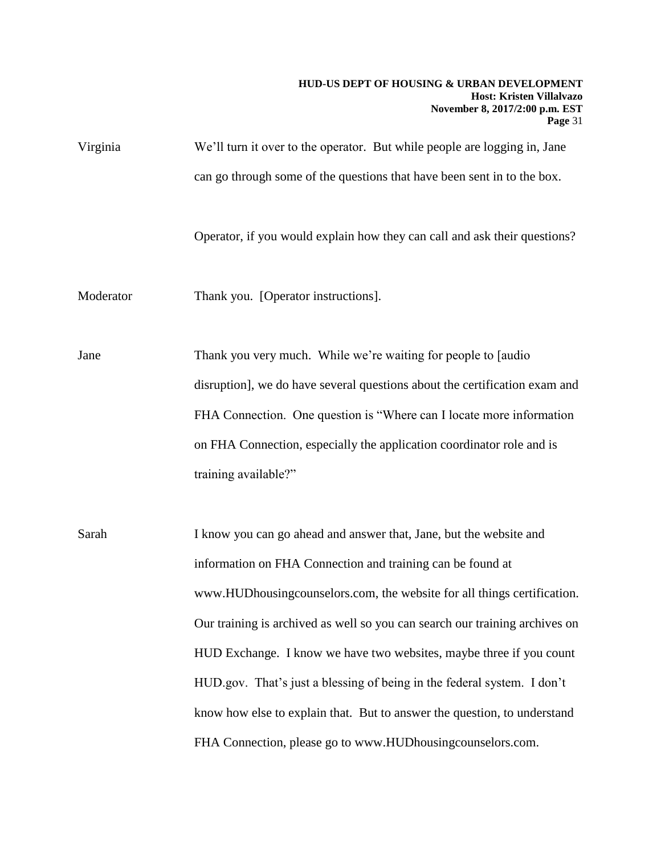### **HUD-US DEPT OF HOUSING & URBAN DEVELOPMENT Host: Kristen Villalvazo November 8, 2017/2:00 p.m. EST Page** 31

Virginia We'll turn it over to the operator. But while people are logging in, Jane can go through some of the questions that have been sent in to the box.

Operator, if you would explain how they can call and ask their questions?

Moderator Thank you. [Operator instructions].

Jane Thank you very much. While we're waiting for people to [audio disruption], we do have several questions about the certification exam and FHA Connection. One question is "Where can I locate more information on FHA Connection, especially the application coordinator role and is training available?"

Sarah I know you can go ahead and answer that, Jane, but the website and information on FHA Connection and training can be found at www.HUDhousingcounselors.com, the website for all things certification. Our training is archived as well so you can search our training archives on HUD Exchange. I know we have two websites, maybe three if you count HUD.gov. That's just a blessing of being in the federal system. I don't know how else to explain that. But to answer the question, to understand FHA Connection, please go to www.HUDhousingcounselors.com.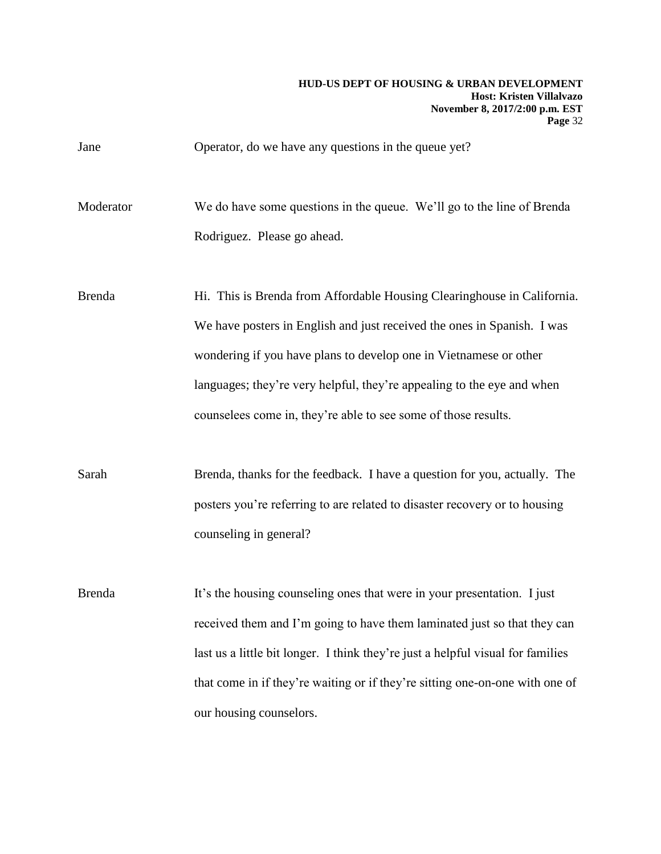## Jane Operator, do we have any questions in the queue yet?

Moderator We do have some questions in the queue. We'll go to the line of Brenda Rodriguez. Please go ahead.

Brenda **Hi.** This is Brenda from Affordable Housing Clearinghouse in California. We have posters in English and just received the ones in Spanish. I was wondering if you have plans to develop one in Vietnamese or other languages; they're very helpful, they're appealing to the eye and when counselees come in, they're able to see some of those results.

Sarah Brenda, thanks for the feedback. I have a question for you, actually. The posters you're referring to are related to disaster recovery or to housing counseling in general?

Brenda It's the housing counseling ones that were in your presentation. I just received them and I'm going to have them laminated just so that they can last us a little bit longer. I think they're just a helpful visual for families that come in if they're waiting or if they're sitting one-on-one with one of our housing counselors.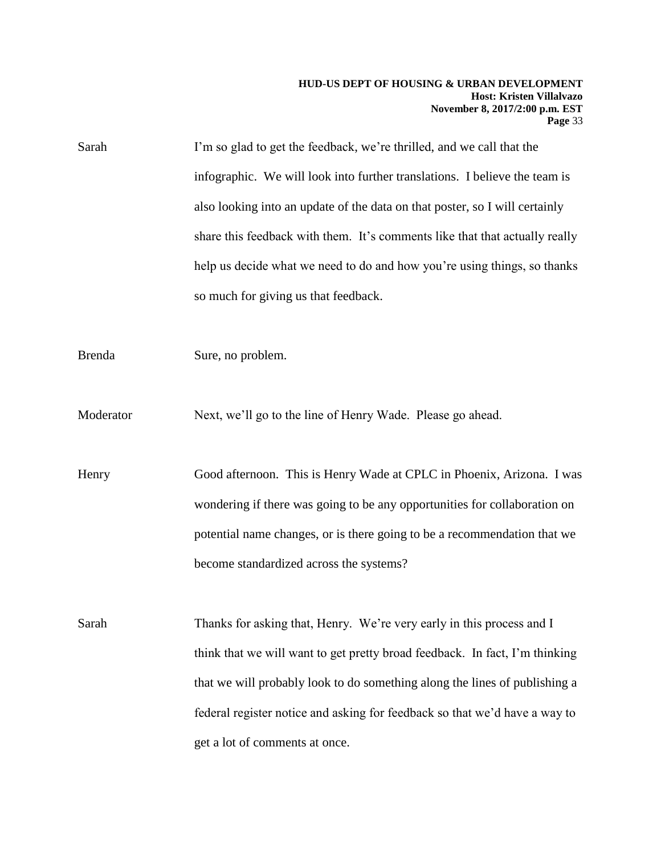## **HUD-US DEPT OF HOUSING & URBAN DEVELOPMENT Host: Kristen Villalvazo November 8, 2017/2:00 p.m. EST Page** 33

| Sarah         | I'm so glad to get the feedback, we're thrilled, and we call that the       |
|---------------|-----------------------------------------------------------------------------|
|               | infographic. We will look into further translations. I believe the team is  |
|               | also looking into an update of the data on that poster, so I will certainly |
|               | share this feedback with them. It's comments like that that actually really |
|               | help us decide what we need to do and how you're using things, so thanks    |
|               | so much for giving us that feedback.                                        |
|               |                                                                             |
| <b>Brenda</b> | Sure, no problem.                                                           |
| Moderator     | Next, we'll go to the line of Henry Wade. Please go ahead.                  |
| Henry         | Good afternoon. This is Henry Wade at CPLC in Phoenix, Arizona. I was       |
|               | wondering if there was going to be any opportunities for collaboration on   |
|               | potential name changes, or is there going to be a recommendation that we    |
|               | become standardized across the systems?                                     |
|               |                                                                             |
| Sarah         | Thanks for asking that, Henry. We're very early in this process and I       |
|               | think that we will want to get pretty broad feedback. In fact, I'm thinking |
|               | that we will probably look to do something along the lines of publishing a  |
|               | federal register notice and asking for feedback so that we'd have a way to  |
|               | get a lot of comments at once.                                              |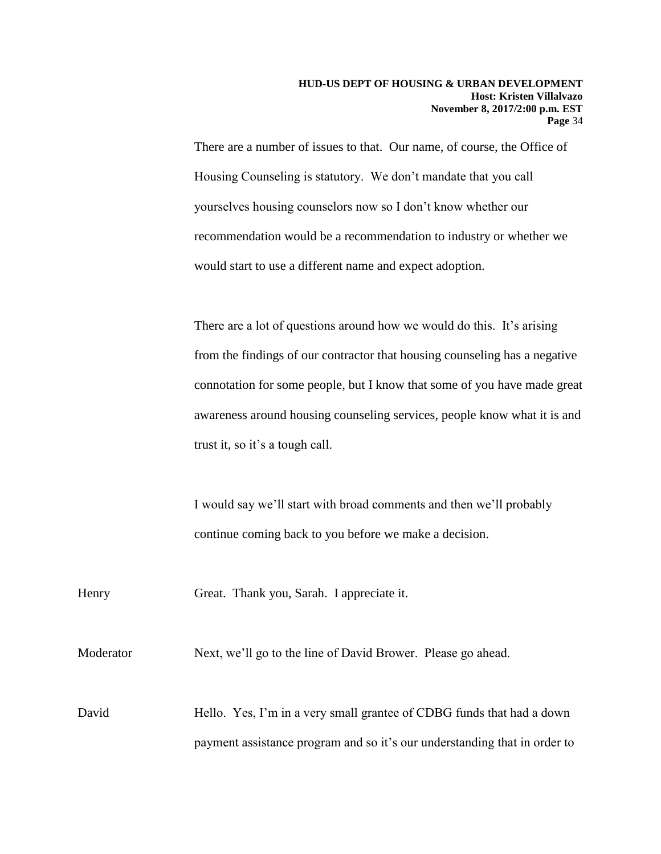There are a number of issues to that. Our name, of course, the Office of Housing Counseling is statutory. We don't mandate that you call yourselves housing counselors now so I don't know whether our recommendation would be a recommendation to industry or whether we would start to use a different name and expect adoption.

There are a lot of questions around how we would do this. It's arising from the findings of our contractor that housing counseling has a negative connotation for some people, but I know that some of you have made great awareness around housing counseling services, people know what it is and trust it, so it's a tough call.

I would say we'll start with broad comments and then we'll probably continue coming back to you before we make a decision.

Henry Great. Thank you, Sarah. I appreciate it.

Moderator Next, we'll go to the line of David Brower. Please go ahead.

David Hello. Yes, I'm in a very small grantee of CDBG funds that had a down payment assistance program and so it's our understanding that in order to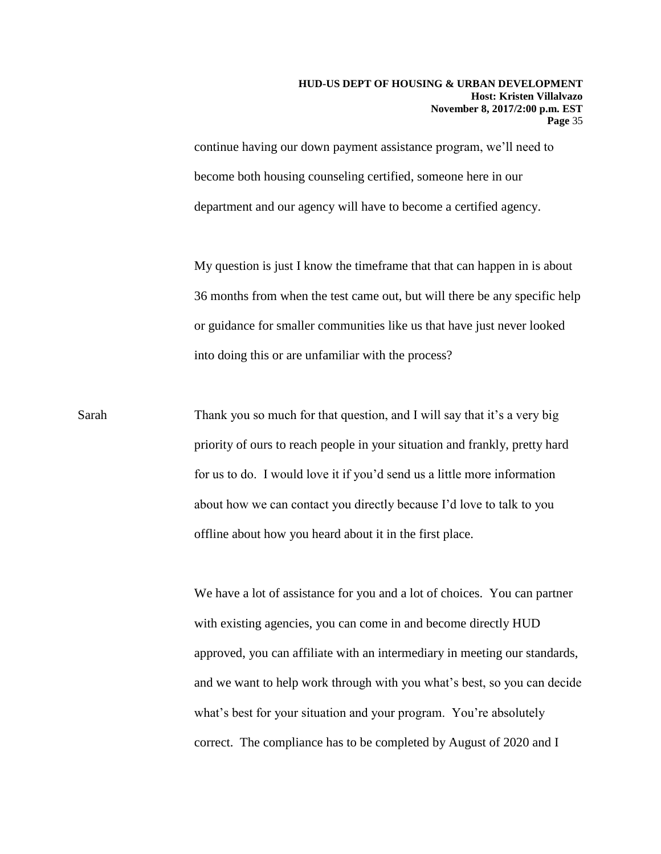continue having our down payment assistance program, we'll need to become both housing counseling certified, someone here in our department and our agency will have to become a certified agency.

My question is just I know the timeframe that that can happen in is about 36 months from when the test came out, but will there be any specific help or guidance for smaller communities like us that have just never looked into doing this or are unfamiliar with the process?

Sarah Thank you so much for that question, and I will say that it's a very big priority of ours to reach people in your situation and frankly, pretty hard for us to do. I would love it if you'd send us a little more information about how we can contact you directly because I'd love to talk to you offline about how you heard about it in the first place.

> We have a lot of assistance for you and a lot of choices. You can partner with existing agencies, you can come in and become directly HUD approved, you can affiliate with an intermediary in meeting our standards, and we want to help work through with you what's best, so you can decide what's best for your situation and your program. You're absolutely correct. The compliance has to be completed by August of 2020 and I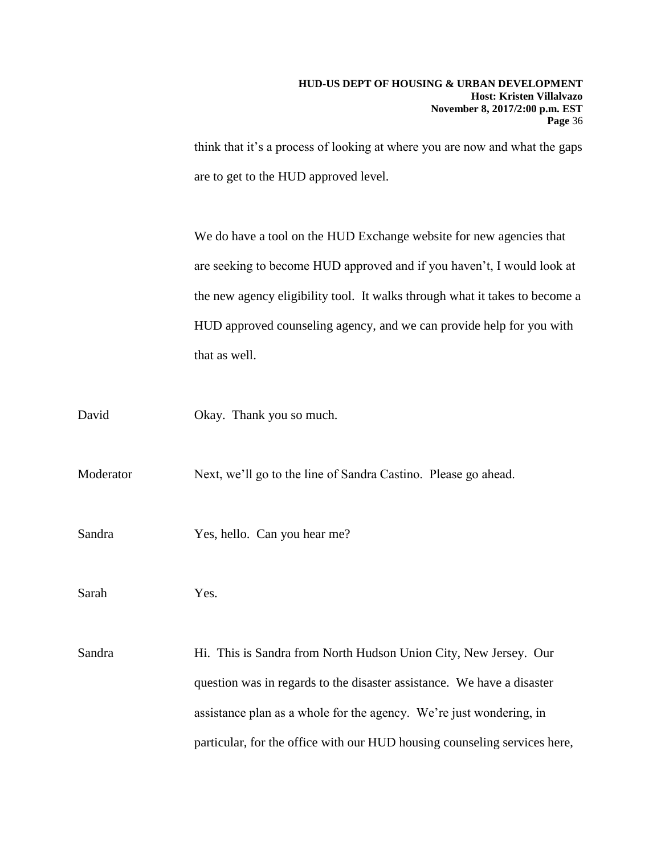think that it's a process of looking at where you are now and what the gaps are to get to the HUD approved level.

We do have a tool on the HUD Exchange website for new agencies that are seeking to become HUD approved and if you haven't, I would look at the new agency eligibility tool. It walks through what it takes to become a HUD approved counseling agency, and we can provide help for you with that as well.

David Okay. Thank you so much.

Moderator Next, we'll go to the line of Sandra Castino. Please go ahead.

Sandra Yes, hello. Can you hear me?

Sarah Yes.

Sandra Hi. This is Sandra from North Hudson Union City, New Jersey. Our question was in regards to the disaster assistance. We have a disaster assistance plan as a whole for the agency. We're just wondering, in particular, for the office with our HUD housing counseling services here,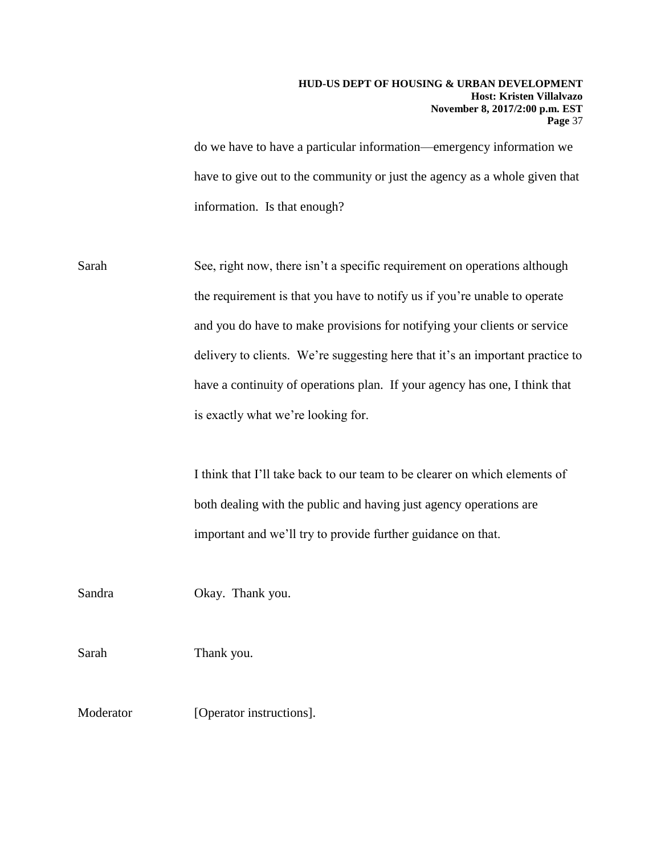## **HUD-US DEPT OF HOUSING & URBAN DEVELOPMENT Host: Kristen Villalvazo November 8, 2017/2:00 p.m. EST Page** 37

do we have to have a particular information—emergency information we have to give out to the community or just the agency as a whole given that information. Is that enough?

Sarah See, right now, there isn't a specific requirement on operations although the requirement is that you have to notify us if you're unable to operate and you do have to make provisions for notifying your clients or service delivery to clients. We're suggesting here that it's an important practice to have a continuity of operations plan. If your agency has one, I think that is exactly what we're looking for.

> I think that I'll take back to our team to be clearer on which elements of both dealing with the public and having just agency operations are important and we'll try to provide further guidance on that.

Sandra Okay. Thank you.

Sarah Thank you.

Moderator [Operator instructions].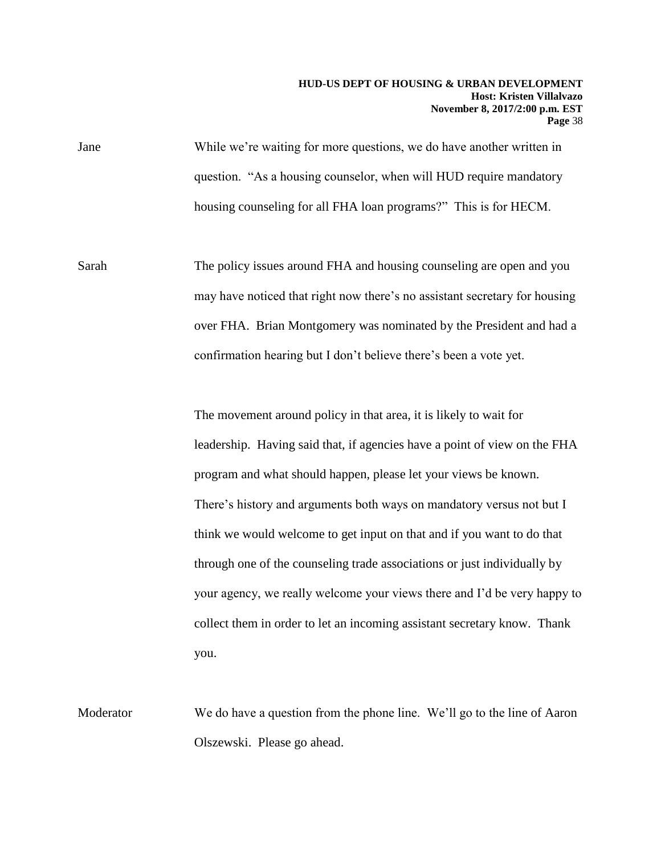## **HUD-US DEPT OF HOUSING & URBAN DEVELOPMENT Host: Kristen Villalvazo November 8, 2017/2:00 p.m. EST Page** 38

Jane While we're waiting for more questions, we do have another written in question. "As a housing counselor, when will HUD require mandatory housing counseling for all FHA loan programs?" This is for HECM.

Sarah The policy issues around FHA and housing counseling are open and you may have noticed that right now there's no assistant secretary for housing over FHA. Brian Montgomery was nominated by the President and had a confirmation hearing but I don't believe there's been a vote yet.

> The movement around policy in that area, it is likely to wait for leadership. Having said that, if agencies have a point of view on the FHA program and what should happen, please let your views be known. There's history and arguments both ways on mandatory versus not but I think we would welcome to get input on that and if you want to do that through one of the counseling trade associations or just individually by your agency, we really welcome your views there and I'd be very happy to collect them in order to let an incoming assistant secretary know. Thank you.

Moderator We do have a question from the phone line. We'll go to the line of Aaron Olszewski. Please go ahead.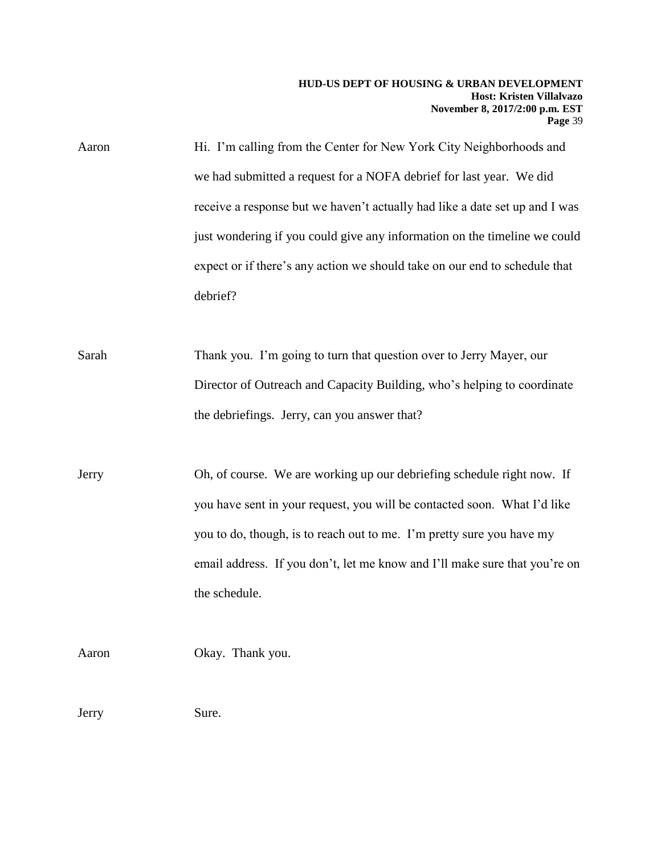Aaron Hi. I'm calling from the Center for New York City Neighborhoods and we had submitted a request for a NOFA debrief for last year. We did receive a response but we haven't actually had like a date set up and I was just wondering if you could give any information on the timeline we could expect or if there's any action we should take on our end to schedule that debrief?

Sarah Thank you. I'm going to turn that question over to Jerry Mayer, our Director of Outreach and Capacity Building, who's helping to coordinate the debriefings. Jerry, can you answer that?

Jerry Oh, of course. We are working up our debriefing schedule right now. If you have sent in your request, you will be contacted soon. What I'd like you to do, though, is to reach out to me. I'm pretty sure you have my email address. If you don't, let me know and I'll make sure that you're on the schedule.

Aaron Okay. Thank you.

Jerry Sure.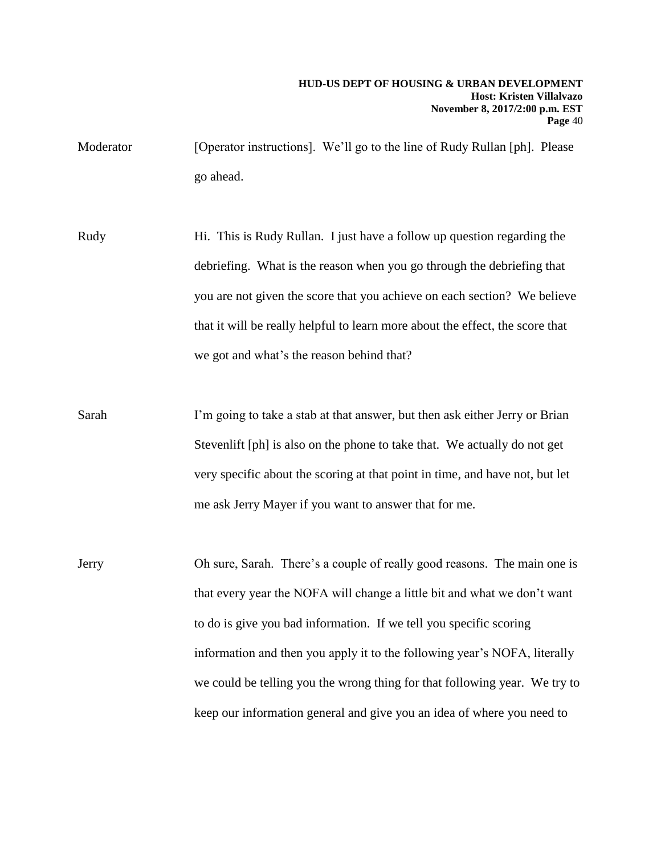Moderator [Operator instructions]. We'll go to the line of Rudy Rullan [ph]. Please go ahead.

Rudy Hi. This is Rudy Rullan. I just have a follow up question regarding the debriefing. What is the reason when you go through the debriefing that you are not given the score that you achieve on each section? We believe that it will be really helpful to learn more about the effect, the score that we got and what's the reason behind that?

Sarah I'm going to take a stab at that answer, but then ask either Jerry or Brian Stevenlift [ph] is also on the phone to take that. We actually do not get very specific about the scoring at that point in time, and have not, but let me ask Jerry Mayer if you want to answer that for me.

Jerry Oh sure, Sarah. There's a couple of really good reasons. The main one is that every year the NOFA will change a little bit and what we don't want to do is give you bad information. If we tell you specific scoring information and then you apply it to the following year's NOFA, literally we could be telling you the wrong thing for that following year. We try to keep our information general and give you an idea of where you need to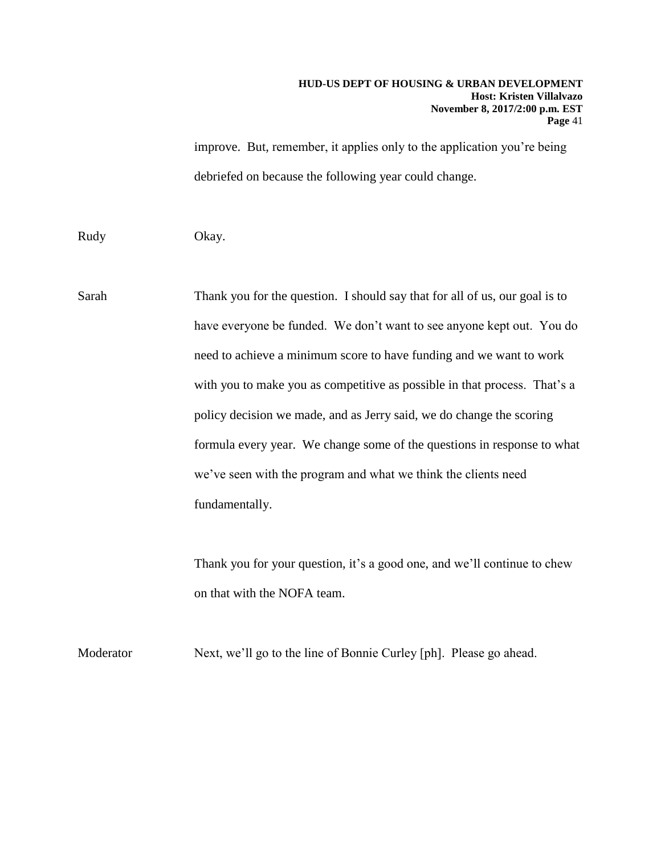improve. But, remember, it applies only to the application you're being debriefed on because the following year could change.

Rudy Okay.

Sarah Thank you for the question. I should say that for all of us, our goal is to have everyone be funded. We don't want to see anyone kept out. You do need to achieve a minimum score to have funding and we want to work with you to make you as competitive as possible in that process. That's a policy decision we made, and as Jerry said, we do change the scoring formula every year. We change some of the questions in response to what we've seen with the program and what we think the clients need fundamentally.

> Thank you for your question, it's a good one, and we'll continue to chew on that with the NOFA team.

Moderator Next, we'll go to the line of Bonnie Curley [ph]. Please go ahead.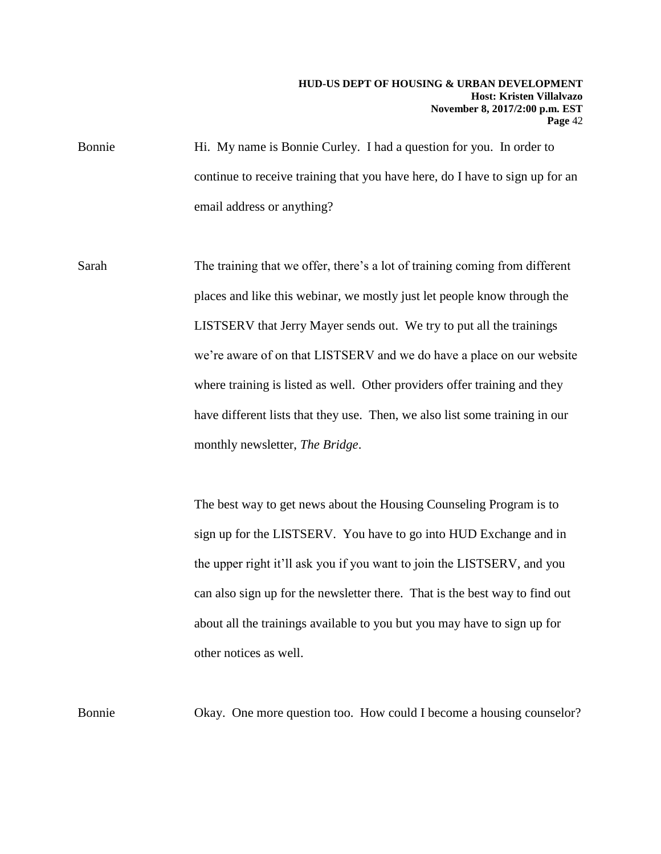Bonnie Hi. My name is Bonnie Curley. I had a question for you. In order to continue to receive training that you have here, do I have to sign up for an email address or anything?

Sarah The training that we offer, there's a lot of training coming from different places and like this webinar, we mostly just let people know through the LISTSERV that Jerry Mayer sends out. We try to put all the trainings we're aware of on that LISTSERV and we do have a place on our website where training is listed as well. Other providers offer training and they have different lists that they use. Then, we also list some training in our monthly newsletter, *The Bridge*.

> The best way to get news about the Housing Counseling Program is to sign up for the LISTSERV. You have to go into HUD Exchange and in the upper right it'll ask you if you want to join the LISTSERV, and you can also sign up for the newsletter there. That is the best way to find out about all the trainings available to you but you may have to sign up for other notices as well.

Bonnie Okay. One more question too. How could I become a housing counselor?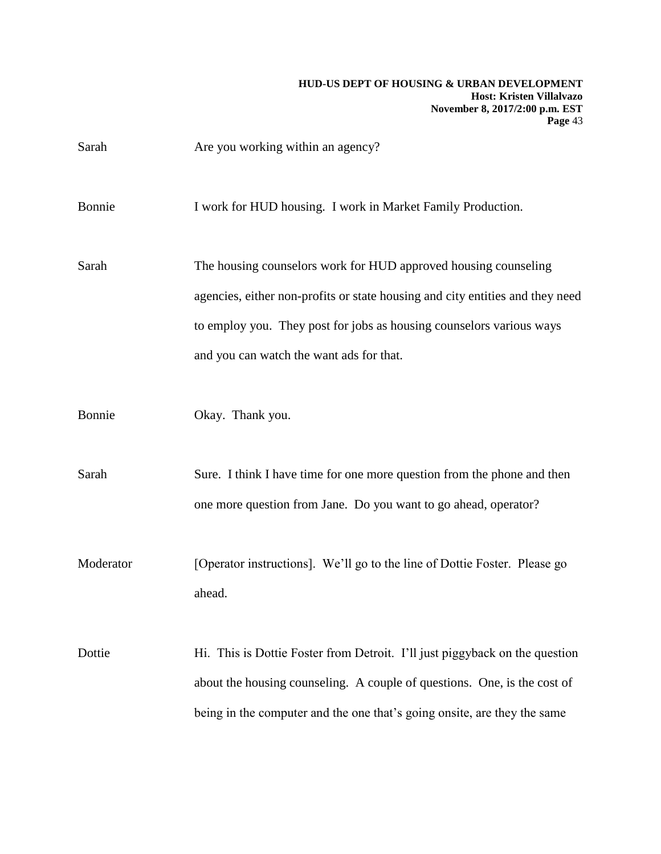| Sarah     | Are you working within an agency?                                             |
|-----------|-------------------------------------------------------------------------------|
| Bonnie    | I work for HUD housing. I work in Market Family Production.                   |
| Sarah     | The housing counselors work for HUD approved housing counseling               |
|           | agencies, either non-profits or state housing and city entities and they need |
|           | to employ you. They post for jobs as housing counselors various ways          |
|           | and you can watch the want ads for that.                                      |
| Bonnie    | Okay. Thank you.                                                              |
| Sarah     | Sure. I think I have time for one more question from the phone and then       |
|           | one more question from Jane. Do you want to go ahead, operator?               |
| Moderator | [Operator instructions]. We'll go to the line of Dottie Foster. Please go     |
|           | ahead.                                                                        |
| Dottie    | Hi. This is Dottie Foster from Detroit. I'll just piggyback on the question   |
|           | about the housing counseling. A couple of questions. One, is the cost of      |
|           | being in the computer and the one that's going onsite, are they the same      |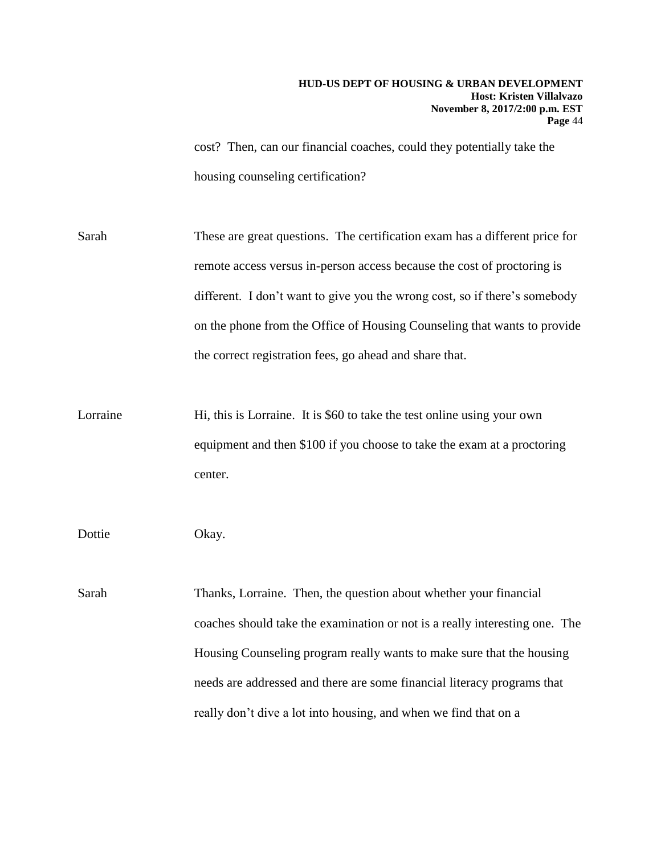cost? Then, can our financial coaches, could they potentially take the housing counseling certification?

Sarah These are great questions. The certification exam has a different price for remote access versus in-person access because the cost of proctoring is different. I don't want to give you the wrong cost, so if there's somebody on the phone from the Office of Housing Counseling that wants to provide the correct registration fees, go ahead and share that.

Lorraine Hi, this is Lorraine. It is \$60 to take the test online using your own equipment and then \$100 if you choose to take the exam at a proctoring center.

Dottie Okay.

Sarah Thanks, Lorraine. Then, the question about whether your financial coaches should take the examination or not is a really interesting one. The Housing Counseling program really wants to make sure that the housing needs are addressed and there are some financial literacy programs that really don't dive a lot into housing, and when we find that on a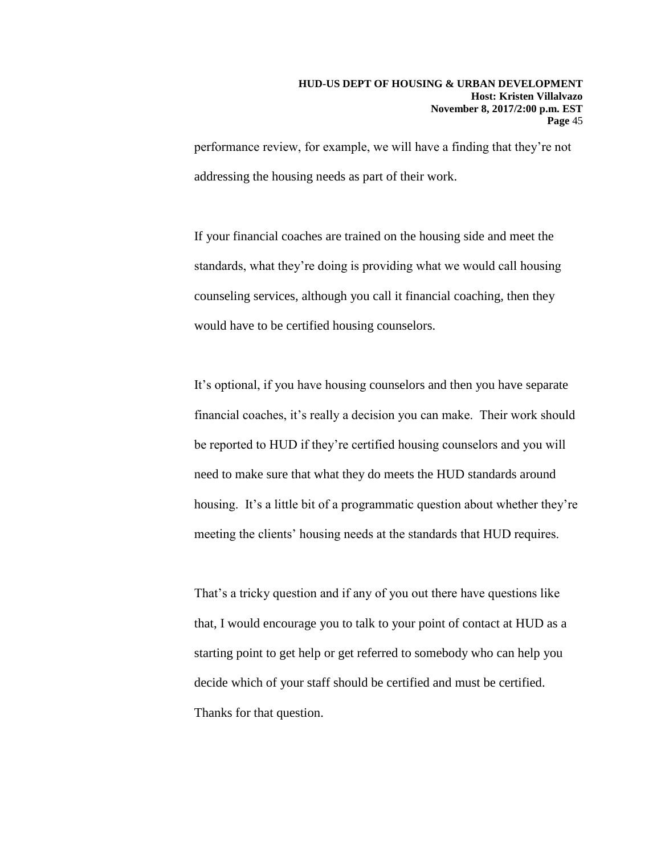performance review, for example, we will have a finding that they're not addressing the housing needs as part of their work.

If your financial coaches are trained on the housing side and meet the standards, what they're doing is providing what we would call housing counseling services, although you call it financial coaching, then they would have to be certified housing counselors.

It's optional, if you have housing counselors and then you have separate financial coaches, it's really a decision you can make. Their work should be reported to HUD if they're certified housing counselors and you will need to make sure that what they do meets the HUD standards around housing. It's a little bit of a programmatic question about whether they're meeting the clients' housing needs at the standards that HUD requires.

That's a tricky question and if any of you out there have questions like that, I would encourage you to talk to your point of contact at HUD as a starting point to get help or get referred to somebody who can help you decide which of your staff should be certified and must be certified. Thanks for that question.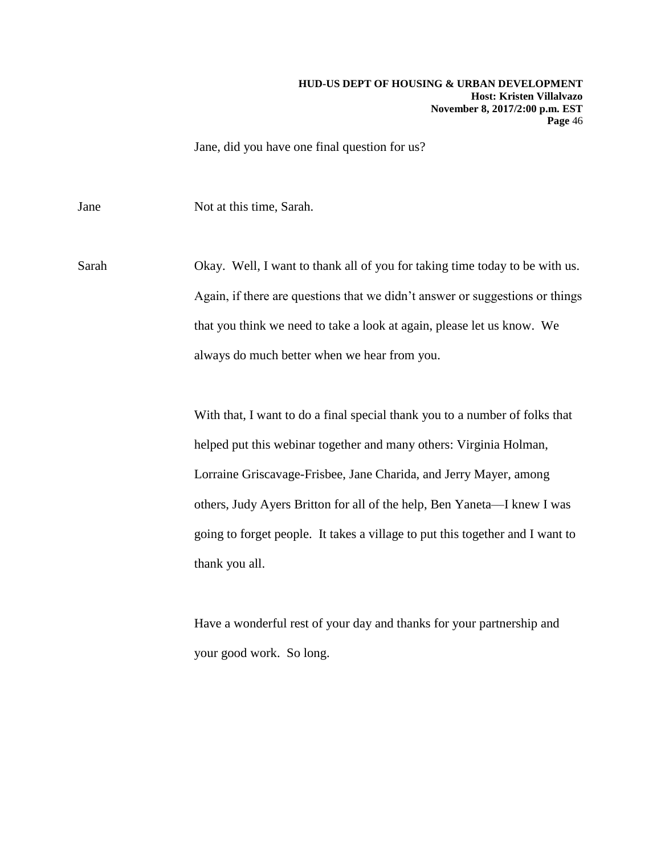Jane, did you have one final question for us?

Jane Not at this time, Sarah.

Sarah Okay. Well, I want to thank all of you for taking time today to be with us. Again, if there are questions that we didn't answer or suggestions or things that you think we need to take a look at again, please let us know. We always do much better when we hear from you.

> With that, I want to do a final special thank you to a number of folks that helped put this webinar together and many others: Virginia Holman, Lorraine Griscavage-Frisbee, Jane Charida, and Jerry Mayer, among others, Judy Ayers Britton for all of the help, Ben Yaneta—I knew I was going to forget people. It takes a village to put this together and I want to thank you all.

Have a wonderful rest of your day and thanks for your partnership and your good work. So long.